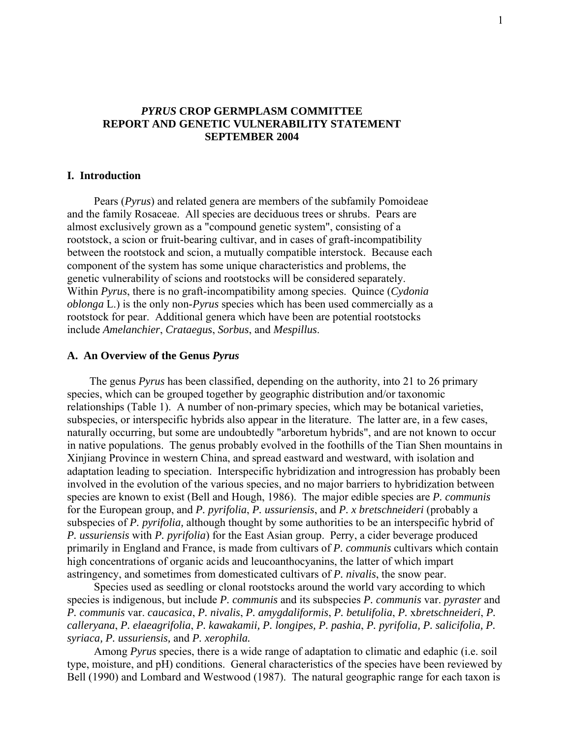## *PYRUS* **CROP GERMPLASM COMMITTEE REPORT AND GENETIC VULNERABILITY STATEMENT SEPTEMBER 2004**

## **I. Introduction**

 Pears (*Pyrus*) and related genera are members of the subfamily Pomoideae and the family Rosaceae. All species are deciduous trees or shrubs. Pears are almost exclusively grown as a "compound genetic system", consisting of a rootstock, a scion or fruit-bearing cultivar, and in cases of graft-incompatibility between the rootstock and scion, a mutually compatible interstock. Because each component of the system has some unique characteristics and problems, the genetic vulnerability of scions and rootstocks will be considered separately. Within *Pyrus*, there is no graft-incompatibility among species. Quince (*Cydonia oblonga* L.) is the only non-*Pyrus* species which has been used commercially as a rootstock for pear. Additional genera which have been are potential rootstocks include *Amelanchier*, *Crataegus*, *Sorbus*, and *Mespillus*.

## **A. An Overview of the Genus** *Pyrus*

 The genus *Pyrus* has been classified, depending on the authority, into 21 to 26 primary species, which can be grouped together by geographic distribution and/or taxonomic relationships (Table 1). A number of non-primary species, which may be botanical varieties, subspecies, or interspecific hybrids also appear in the literature. The latter are, in a few cases, naturally occurring, but some are undoubtedly "arboretum hybrids", and are not known to occur in native populations. The genus probably evolved in the foothills of the Tian Shen mountains in Xinjiang Province in western China, and spread eastward and westward, with isolation and adaptation leading to speciation. Interspecific hybridization and introgression has probably been involved in the evolution of the various species, and no major barriers to hybridization between species are known to exist (Bell and Hough, 1986). The major edible species are *P. communis* for the European group, and *P. pyrifolia*, *P. ussuriensis*, and *P. x bretschneideri* (probably a subspecies of *P. pyrifolia,* although thought by some authorities to be an interspecific hybrid of *P. ussuriensis* with *P. pyrifolia*) for the East Asian group. Perry, a cider beverage produced primarily in England and France, is made from cultivars of *P. communis* cultivars which contain high concentrations of organic acids and leucoanthocyanins, the latter of which impart astringency, and sometimes from domesticated cultivars of *P. nivalis*, the snow pear.

 Species used as seedling or clonal rootstocks around the world vary according to which species is indigenous, but include *P. communis* and its subspecies *P. communis* var. *pyraster* and *P. communis* var. *caucasica*, *P. nivalis*, *P. amygdaliformis*, *P. betulifolia*, *P.* x*bretschneideri*, *P. calleryana*, *P. elaeagrifolia*, *P. kawakamii, P. longipes, P. pashia*, *P. pyrifolia, P. salicifolia, P. syriaca, P. ussuriensis,* and *P. xerophila.* 

 Among *Pyrus* species, there is a wide range of adaptation to climatic and edaphic (i.e. soil type, moisture, and pH) conditions. General characteristics of the species have been reviewed by Bell (1990) and Lombard and Westwood (1987). The natural geographic range for each taxon is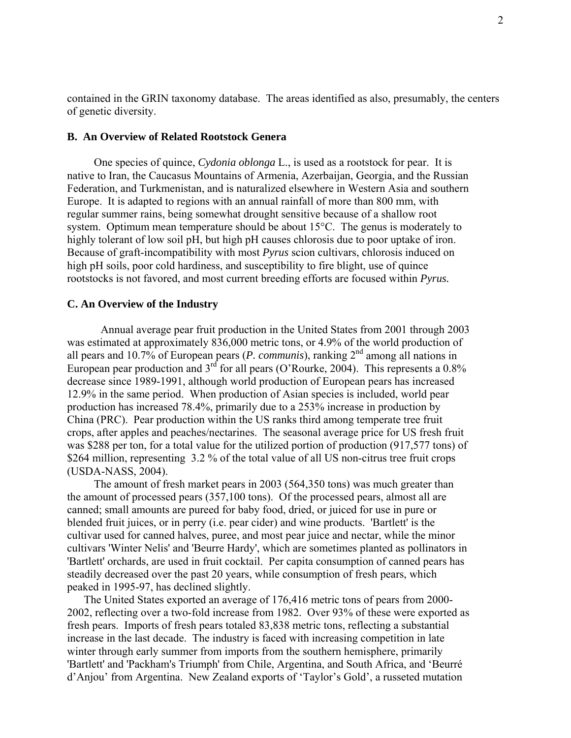contained in the GRIN taxonomy database. The areas identified as also, presumably, the centers of genetic diversity.

## **B. An Overview of Related Rootstock Genera**

 One species of quince, *Cydonia oblonga* L., is used as a rootstock for pear. It is native to Iran, the Caucasus Mountains of Armenia, Azerbaijan, Georgia, and the Russian Federation, and Turkmenistan, and is naturalized elsewhere in Western Asia and southern Europe. It is adapted to regions with an annual rainfall of more than 800 mm, with regular summer rains, being somewhat drought sensitive because of a shallow root system. Optimum mean temperature should be about 15°C. The genus is moderately to highly tolerant of low soil pH, but high pH causes chlorosis due to poor uptake of iron. Because of graft-incompatibility with most *Pyrus* scion cultivars, chlorosis induced on high pH soils, poor cold hardiness, and susceptibility to fire blight, use of quince rootstocks is not favored, and most current breeding efforts are focused within *Pyrus.*

## **C. An Overview of the Industry**

Annual average pear fruit production in the United States from 2001 through 2003 was estimated at approximately 836,000 metric tons, or 4.9% of the world production of all pears and 10.7% of European pears (*P. communis*), ranking  $2<sup>nd</sup>$  among all nations in European pear production and 3<sup>rd</sup> for all pears (O'Rourke, 2004). This represents a 0.8% decrease since 1989-1991, although world production of European pears has increased 12.9% in the same period. When production of Asian species is included, world pear production has increased 78.4%, primarily due to a 253% increase in production by China (PRC). Pear production within the US ranks third among temperate tree fruit crops, after apples and peaches/nectarines. The seasonal average price for US fresh fruit was \$288 per ton, for a total value for the utilized portion of production (917,577 tons) of \$264 million, representing 3.2 % of the total value of all US non-citrus tree fruit crops (USDA-NASS, 2004).

 The amount of fresh market pears in 2003 (564,350 tons) was much greater than the amount of processed pears (357,100 tons). Of the processed pears, almost all are canned; small amounts are pureed for baby food, dried, or juiced for use in pure or blended fruit juices, or in perry (i.e. pear cider) and wine products. 'Bartlett' is the cultivar used for canned halves, puree, and most pear juice and nectar, while the minor cultivars 'Winter Nelis' and 'Beurre Hardy', which are sometimes planted as pollinators in 'Bartlett' orchards, are used in fruit cocktail. Per capita consumption of canned pears has steadily decreased over the past 20 years, while consumption of fresh pears, which peaked in 1995-97, has declined slightly.

 The United States exported an average of 176,416 metric tons of pears from 2000- 2002, reflecting over a two-fold increase from 1982. Over 93% of these were exported as fresh pears. Imports of fresh pears totaled 83,838 metric tons, reflecting a substantial increase in the last decade. The industry is faced with increasing competition in late winter through early summer from imports from the southern hemisphere, primarily 'Bartlett' and 'Packham's Triumph' from Chile, Argentina, and South Africa, and 'Beurré d'Anjou' from Argentina. New Zealand exports of 'Taylor's Gold', a russeted mutation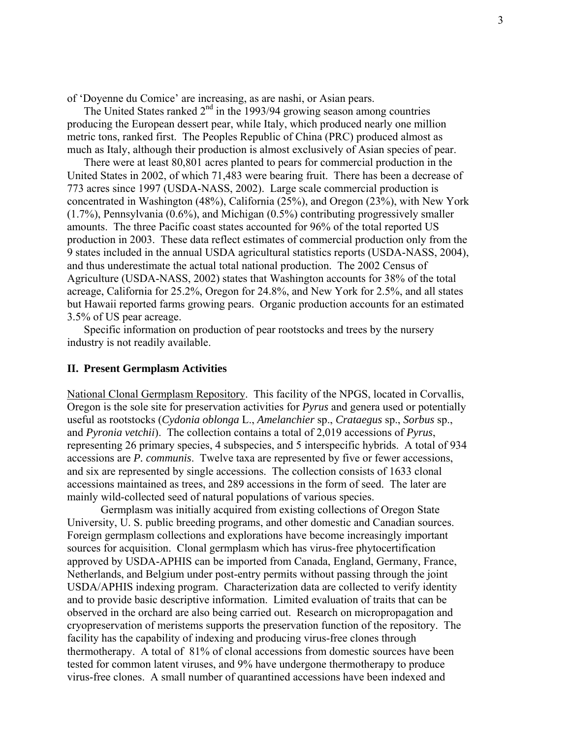of 'Doyenne du Comice' are increasing, as are nashi, or Asian pears.

The United States ranked  $2<sup>nd</sup>$  in the 1993/94 growing season among countries producing the European dessert pear, while Italy, which produced nearly one million metric tons, ranked first. The Peoples Republic of China (PRC) produced almost as much as Italy, although their production is almost exclusively of Asian species of pear.

 There were at least 80,801 acres planted to pears for commercial production in the United States in 2002, of which 71,483 were bearing fruit. There has been a decrease of 773 acres since 1997 (USDA-NASS, 2002). Large scale commercial production is concentrated in Washington (48%), California (25%), and Oregon (23%), with New York (1.7%), Pennsylvania (0.6%), and Michigan (0.5%) contributing progressively smaller amounts. The three Pacific coast states accounted for 96% of the total reported US production in 2003. These data reflect estimates of commercial production only from the 9 states included in the annual USDA agricultural statistics reports (USDA-NASS, 2004), and thus underestimate the actual total national production. The 2002 Census of Agriculture (USDA-NASS, 2002) states that Washington accounts for 38% of the total acreage, California for 25.2%, Oregon for 24.8%, and New York for 2.5%, and all states but Hawaii reported farms growing pears. Organic production accounts for an estimated 3.5% of US pear acreage.

 Specific information on production of pear rootstocks and trees by the nursery industry is not readily available.

## **II. Present Germplasm Activities**

National Clonal Germplasm Repository. This facility of the NPGS, located in Corvallis, Oregon is the sole site for preservation activities for *Pyrus* and genera used or potentially useful as rootstocks (*Cydonia oblonga* L., *Amelanchier* sp., *Crataegus* sp., *Sorbus* sp., and *Pyronia vetchii*). The collection contains a total of 2,019 accessions of *Pyrus*, representing 26 primary species, 4 subspecies, and 5 interspecific hybrids. A total of 934 accessions are *P. communis*. Twelve taxa are represented by five or fewer accessions, and six are represented by single accessions. The collection consists of 1633 clonal accessions maintained as trees, and 289 accessions in the form of seed. The later are mainly wild-collected seed of natural populations of various species.

 Germplasm was initially acquired from existing collections of Oregon State University, U. S. public breeding programs, and other domestic and Canadian sources. Foreign germplasm collections and explorations have become increasingly important sources for acquisition. Clonal germplasm which has virus-free phytocertification approved by USDA-APHIS can be imported from Canada, England, Germany, France, Netherlands, and Belgium under post-entry permits without passing through the joint USDA/APHIS indexing program. Characterization data are collected to verify identity and to provide basic descriptive information. Limited evaluation of traits that can be observed in the orchard are also being carried out. Research on micropropagation and cryopreservation of meristems supports the preservation function of the repository. The facility has the capability of indexing and producing virus-free clones through thermotherapy. A total of 81% of clonal accessions from domestic sources have been tested for common latent viruses, and 9% have undergone thermotherapy to produce virus-free clones. A small number of quarantined accessions have been indexed and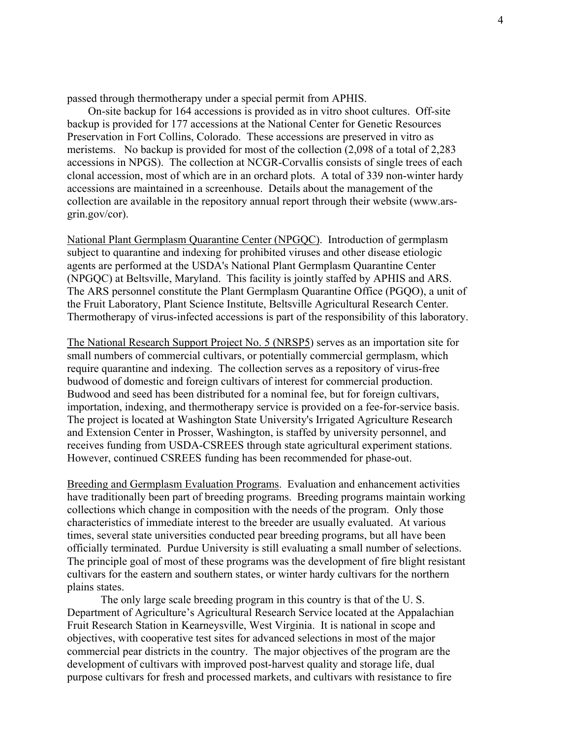passed through thermotherapy under a special permit from APHIS.

 On-site backup for 164 accessions is provided as in vitro shoot cultures. Off-site backup is provided for 177 accessions at the National Center for Genetic Resources Preservation in Fort Collins, Colorado. These accessions are preserved in vitro as meristems. No backup is provided for most of the collection (2,098 of a total of 2,283 accessions in NPGS). The collection at NCGR-Corvallis consists of single trees of each clonal accession, most of which are in an orchard plots. A total of 339 non-winter hardy accessions are maintained in a screenhouse. Details about the management of the collection are available in the repository annual report through their website (www.arsgrin.gov/cor).

National Plant Germplasm Quarantine Center (NPGQC). Introduction of germplasm subject to quarantine and indexing for prohibited viruses and other disease etiologic agents are performed at the USDA's National Plant Germplasm Quarantine Center (NPGQC) at Beltsville, Maryland. This facility is jointly staffed by APHIS and ARS. The ARS personnel constitute the Plant Germplasm Quarantine Office (PGQO), a unit of the Fruit Laboratory, Plant Science Institute, Beltsville Agricultural Research Center. Thermotherapy of virus-infected accessions is part of the responsibility of this laboratory.

The National Research Support Project No. 5 (NRSP5) serves as an importation site for small numbers of commercial cultivars, or potentially commercial germplasm, which require quarantine and indexing. The collection serves as a repository of virus-free budwood of domestic and foreign cultivars of interest for commercial production. Budwood and seed has been distributed for a nominal fee, but for foreign cultivars, importation, indexing, and thermotherapy service is provided on a fee-for-service basis. The project is located at Washington State University's Irrigated Agriculture Research and Extension Center in Prosser, Washington, is staffed by university personnel, and receives funding from USDA-CSREES through state agricultural experiment stations. However, continued CSREES funding has been recommended for phase-out.

Breeding and Germplasm Evaluation Programs. Evaluation and enhancement activities have traditionally been part of breeding programs. Breeding programs maintain working collections which change in composition with the needs of the program. Only those characteristics of immediate interest to the breeder are usually evaluated. At various times, several state universities conducted pear breeding programs, but all have been officially terminated. Purdue University is still evaluating a small number of selections. The principle goal of most of these programs was the development of fire blight resistant cultivars for the eastern and southern states, or winter hardy cultivars for the northern plains states.

 The only large scale breeding program in this country is that of the U. S. Department of Agriculture's Agricultural Research Service located at the Appalachian Fruit Research Station in Kearneysville, West Virginia. It is national in scope and objectives, with cooperative test sites for advanced selections in most of the major commercial pear districts in the country. The major objectives of the program are the development of cultivars with improved post-harvest quality and storage life, dual purpose cultivars for fresh and processed markets, and cultivars with resistance to fire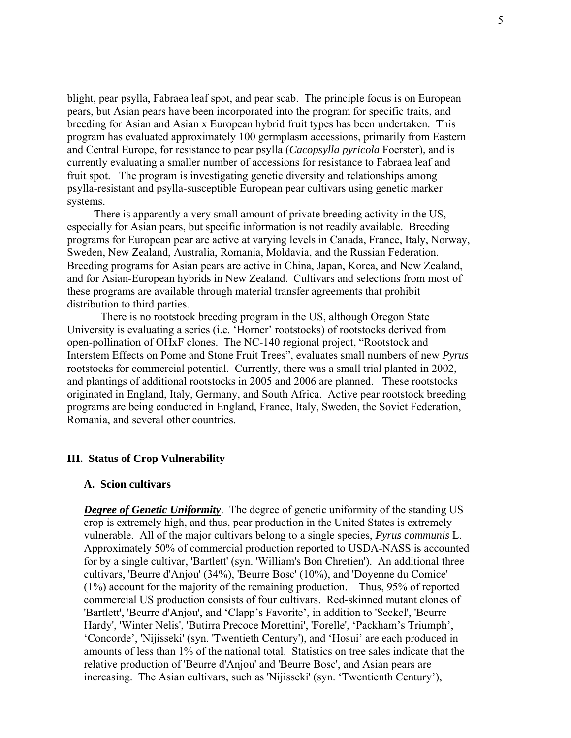blight, pear psylla, Fabraea leaf spot, and pear scab. The principle focus is on European pears, but Asian pears have been incorporated into the program for specific traits, and breeding for Asian and Asian x European hybrid fruit types has been undertaken. This program has evaluated approximately 100 germplasm accessions, primarily from Eastern and Central Europe, for resistance to pear psylla (*Cacopsylla pyricola* Foerster), and is currently evaluating a smaller number of accessions for resistance to Fabraea leaf and fruit spot. The program is investigating genetic diversity and relationships among psylla-resistant and psylla-susceptible European pear cultivars using genetic marker systems.

 There is apparently a very small amount of private breeding activity in the US, especially for Asian pears, but specific information is not readily available. Breeding programs for European pear are active at varying levels in Canada, France, Italy, Norway, Sweden, New Zealand, Australia, Romania, Moldavia, and the Russian Federation. Breeding programs for Asian pears are active in China, Japan, Korea, and New Zealand, and for Asian-European hybrids in New Zealand. Cultivars and selections from most of these programs are available through material transfer agreements that prohibit distribution to third parties.

 There is no rootstock breeding program in the US, although Oregon State University is evaluating a series (i.e. 'Horner' rootstocks) of rootstocks derived from open-pollination of OHxF clones. The NC-140 regional project, "Rootstock and Interstem Effects on Pome and Stone Fruit Trees", evaluates small numbers of new *Pyrus*  rootstocks for commercial potential. Currently, there was a small trial planted in 2002, and plantings of additional rootstocks in 2005 and 2006 are planned. These rootstocks originated in England, Italy, Germany, and South Africa. Active pear rootstock breeding programs are being conducted in England, France, Italy, Sweden, the Soviet Federation, Romania, and several other countries.

## **III. Status of Crop Vulnerability**

### **A. Scion cultivars**

*Degree of Genetic Uniformity*. The degree of genetic uniformity of the standing US crop is extremely high, and thus, pear production in the United States is extremely vulnerable. All of the major cultivars belong to a single species, *Pyrus communis* L. Approximately 50% of commercial production reported to USDA-NASS is accounted for by a single cultivar, 'Bartlett' (syn. 'William's Bon Chretien'). An additional three cultivars, 'Beurre d'Anjou' (34%), 'Beurre Bosc' (10%), and 'Doyenne du Comice' (1%) account for the majority of the remaining production. Thus, 95% of reported commercial US production consists of four cultivars. Red-skinned mutant clones of 'Bartlett', 'Beurre d'Anjou', and 'Clapp's Favorite', in addition to 'Seckel', 'Beurre Hardy', 'Winter Nelis', 'Butirra Precoce Morettini', 'Forelle', 'Packham's Triumph', 'Concorde', 'Nijisseki' (syn. 'Twentieth Century'), and 'Hosui' are each produced in amounts of less than 1% of the national total. Statistics on tree sales indicate that the relative production of 'Beurre d'Anjou' and 'Beurre Bosc', and Asian pears are increasing. The Asian cultivars, such as 'Nijisseki' (syn. 'Twentienth Century'),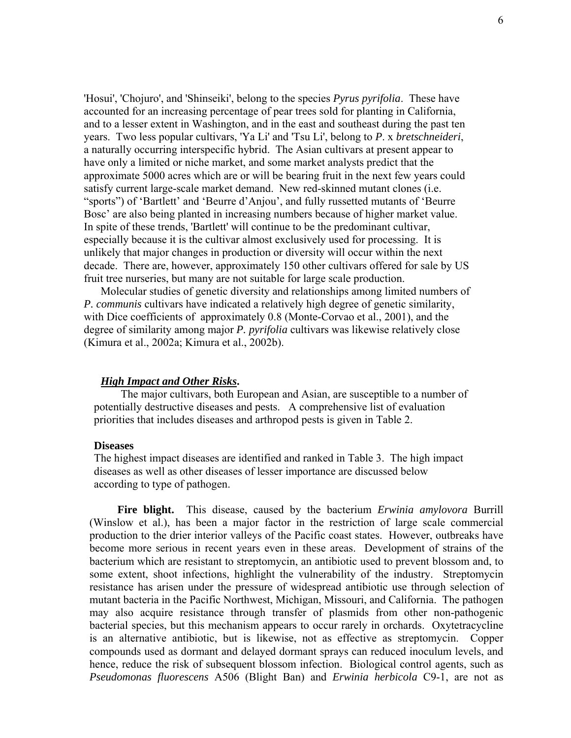'Hosui', 'Chojuro', and 'Shinseiki', belong to the species *Pyrus pyrifolia*. These have accounted for an increasing percentage of pear trees sold for planting in California, and to a lesser extent in Washington, and in the east and southeast during the past ten years. Two less popular cultivars, 'Ya Li' and 'Tsu Li', belong to *P*. x *bretschneideri*, a naturally occurring interspecific hybrid. The Asian cultivars at present appear to have only a limited or niche market, and some market analysts predict that the approximate 5000 acres which are or will be bearing fruit in the next few years could satisfy current large-scale market demand. New red-skinned mutant clones (i.e. "sports") of 'Bartlett' and 'Beurre d'Anjou', and fully russetted mutants of 'Beurre Bosc' are also being planted in increasing numbers because of higher market value. In spite of these trends, 'Bartlett' will continue to be the predominant cultivar, especially because it is the cultivar almost exclusively used for processing. It is unlikely that major changes in production or diversity will occur within the next decade. There are, however, approximately 150 other cultivars offered for sale by US fruit tree nurseries, but many are not suitable for large scale production.

 Molecular studies of genetic diversity and relationships among limited numbers of *P. communis* cultivars have indicated a relatively high degree of genetic similarity, with Dice coefficients of approximately 0.8 (Monte-Corvao et al., 2001), and the degree of similarity among major *P. pyrifolia* cultivars was likewise relatively close (Kimura et al., 2002a; Kimura et al., 2002b).

## *High Impact and Other Risks***.**

 The major cultivars, both European and Asian, are susceptible to a number of potentially destructive diseases and pests. A comprehensive list of evaluation priorities that includes diseases and arthropod pests is given in Table 2.

## **Diseases**

The highest impact diseases are identified and ranked in Table 3. The high impact diseases as well as other diseases of lesser importance are discussed below according to type of pathogen.

 **Fire blight.** This disease, caused by the bacterium *Erwinia amylovora* Burrill (Winslow et al.), has been a major factor in the restriction of large scale commercial production to the drier interior valleys of the Pacific coast states. However, outbreaks have become more serious in recent years even in these areas. Development of strains of the bacterium which are resistant to streptomycin, an antibiotic used to prevent blossom and, to some extent, shoot infections, highlight the vulnerability of the industry. Streptomycin resistance has arisen under the pressure of widespread antibiotic use through selection of mutant bacteria in the Pacific Northwest, Michigan, Missouri, and California. The pathogen may also acquire resistance through transfer of plasmids from other non-pathogenic bacterial species, but this mechanism appears to occur rarely in orchards. Oxytetracycline is an alternative antibiotic, but is likewise, not as effective as streptomycin. Copper compounds used as dormant and delayed dormant sprays can reduced inoculum levels, and hence, reduce the risk of subsequent blossom infection. Biological control agents, such as *Pseudomonas fluorescens* A506 (Blight Ban) and *Erwinia herbicola* C9-1, are not as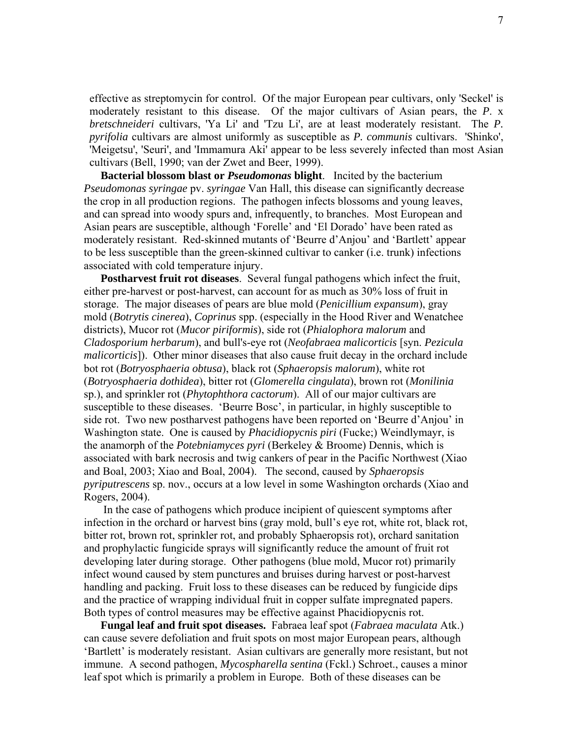effective as streptomycin for control. Of the major European pear cultivars, only 'Seckel' is moderately resistant to this disease. Of the major cultivars of Asian pears, the *P*. x *bretschneideri* cultivars, 'Ya Li' and 'Tzu Li', are at least moderately resistant. The *P. pyrifolia* cultivars are almost uniformly as susceptible as *P. communis* cultivars. 'Shinko', 'Meigetsu', 'Seuri', and 'Immamura Aki' appear to be less severely infected than most Asian cultivars (Bell, 1990; van der Zwet and Beer, 1999).

 **Bacterial blossom blast or** *Pseudomonas* **blight**. Incited by the bacterium *Pseudomonas syringae* pv. *syringae* Van Hall, this disease can significantly decrease the crop in all production regions. The pathogen infects blossoms and young leaves, and can spread into woody spurs and, infrequently, to branches. Most European and Asian pears are susceptible, although 'Forelle' and 'El Dorado' have been rated as moderately resistant. Red-skinned mutants of 'Beurre d'Anjou' and 'Bartlett' appear to be less susceptible than the green-skinned cultivar to canker (i.e. trunk) infections associated with cold temperature injury.

 **Postharvest fruit rot diseases**. Several fungal pathogens which infect the fruit, either pre-harvest or post-harvest, can account for as much as 30% loss of fruit in storage. The major diseases of pears are blue mold (*Penicillium expansum*), gray mold (*Botrytis cinerea*), *Coprinus* spp. (especially in the Hood River and Wenatchee districts), Mucor rot (*Mucor piriformis*), side rot (*Phialophora malorum* and *Cladosporium herbarum*), and bull's-eye rot (*Neofabraea malicorticis* [syn. *Pezicula malicorticis*]). Other minor diseases that also cause fruit decay in the orchard include bot rot (*Botryosphaeria obtusa*), black rot (*Sphaeropsis malorum*), white rot (*Botryosphaeria dothidea*), bitter rot (*Glomerella cingulata*), brown rot (*Monilinia*  sp.), and sprinkler rot (*Phytophthora cactorum*). All of our major cultivars are susceptible to these diseases. 'Beurre Bosc', in particular, in highly susceptible to side rot. Two new postharvest pathogens have been reported on 'Beurre d'Anjou' in Washington state. One is caused by *Phacidiopycnis piri* (Fucke;) Weindlymayr, is the anamorph of the *Potebniamyces pyri* (Berkeley & Broome) Dennis, which is associated with bark necrosis and twig cankers of pear in the Pacific Northwest (Xiao and Boal, 2003; Xiao and Boal, 2004). The second, caused by *Sphaeropsis pyriputrescens* sp. nov., occurs at a low level in some Washington orchards (Xiao and Rogers, 2004).

In the case of pathogens which produce incipient of quiescent symptoms after infection in the orchard or harvest bins (gray mold, bull's eye rot, white rot, black rot, bitter rot, brown rot, sprinkler rot, and probably Sphaeropsis rot), orchard sanitation and prophylactic fungicide sprays will significantly reduce the amount of fruit rot developing later during storage. Other pathogens (blue mold, Mucor rot) primarily infect wound caused by stem punctures and bruises during harvest or post-harvest handling and packing. Fruit loss to these diseases can be reduced by fungicide dips and the practice of wrapping individual fruit in copper sulfate impregnated papers. Both types of control measures may be effective against Phacidiopycnis rot.

 **Fungal leaf and fruit spot diseases.** Fabraea leaf spot (*Fabraea maculata* Atk.) can cause severe defoliation and fruit spots on most major European pears, although 'Bartlett' is moderately resistant. Asian cultivars are generally more resistant, but not immune. A second pathogen, *Mycospharella sentina* (Fckl.) Schroet., causes a minor leaf spot which is primarily a problem in Europe. Both of these diseases can be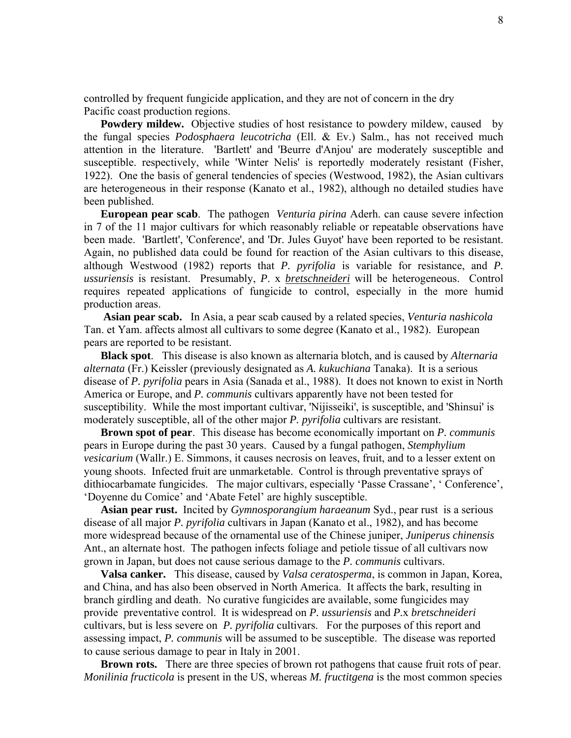controlled by frequent fungicide application, and they are not of concern in the dry Pacific coast production regions.

**Powdery mildew.** Objective studies of host resistance to powdery mildew, caused by the fungal species *Podosphaera leucotricha* (Ell. & Ev.) Salm., has not received much attention in the literature. 'Bartlett' and 'Beurre d'Anjou' are moderately susceptible and susceptible. respectively, while 'Winter Nelis' is reportedly moderately resistant (Fisher, 1922). One the basis of general tendencies of species (Westwood, 1982), the Asian cultivars are heterogeneous in their response (Kanato et al., 1982), although no detailed studies have been published.

 **European pear scab**. The pathogen *Venturia pirina* Aderh. can cause severe infection in 7 of the 11 major cultivars for which reasonably reliable or repeatable observations have been made. 'Bartlett', 'Conference', and 'Dr. Jules Guyot' have been reported to be resistant. Again, no published data could be found for reaction of the Asian cultivars to this disease, although Westwood (1982) reports that *P. pyrifolia* is variable for resistance, and *P. ussuriensis* is resistant. Presumably, *P*. x *bretschneideri* will be heterogeneous. Control requires repeated applications of fungicide to control, especially in the more humid production areas.

 **Asian pear scab.** In Asia, a pear scab caused by a related species, *Venturia nashicola* Tan. et Yam. affects almost all cultivars to some degree (Kanato et al., 1982). European pears are reported to be resistant.

**Black spot**. This disease is also known as alternaria blotch, and is caused by *Alternaria alternata* (Fr.) Keissler (previously designated as *A. kukuchiana* Tanaka). It is a serious disease of *P. pyrifolia* pears in Asia (Sanada et al., 1988). It does not known to exist in North America or Europe, and *P. communis* cultivars apparently have not been tested for susceptibility. While the most important cultivar, 'Nijisseiki', is susceptible, and 'Shinsui' is moderately susceptible, all of the other major *P. pyrifolia* cultivars are resistant.

**Brown spot of pear**. This disease has become economically important on *P. communis*  pears in Europe during the past 30 years. Caused by a fungal pathogen, *Stemphylium vesicarium* (Wallr.) E. Simmons, it causes necrosis on leaves, fruit, and to a lesser extent on young shoots. Infected fruit are unmarketable. Control is through preventative sprays of dithiocarbamate fungicides. The major cultivars, especially 'Passe Crassane', ' Conference', 'Doyenne du Comice' and 'Abate Fetel' are highly susceptible.

**Asian pear rust.** Incited by *Gymnosporangium haraeanum* Syd., pear rust is a serious disease of all major *P. pyrifolia* cultivars in Japan (Kanato et al., 1982), and has become more widespread because of the ornamental use of the Chinese juniper, *Juniperus chinensis* Ant., an alternate host. The pathogen infects foliage and petiole tissue of all cultivars now grown in Japan, but does not cause serious damage to the *P. communis* cultivars.

**Valsa canker.** This disease, caused by *Valsa ceratosperma*, is common in Japan, Korea, and China, and has also been observed in North America. It affects the bark, resulting in branch girdling and death. No curative fungicides are available, some fungicides may provide preventative control. It is widespread on *P. ussuriensis* and *P.*x *bretschneideri* cultivars, but is less severe on *P. pyrifolia* cultivars. For the purposes of this report and assessing impact, *P. communis* will be assumed to be susceptible. The disease was reported to cause serious damage to pear in Italy in 2001.

**Brown rots.** There are three species of brown rot pathogens that cause fruit rots of pear. *Monilinia fructicola* is present in the US, whereas *M. fructitgena* is the most common species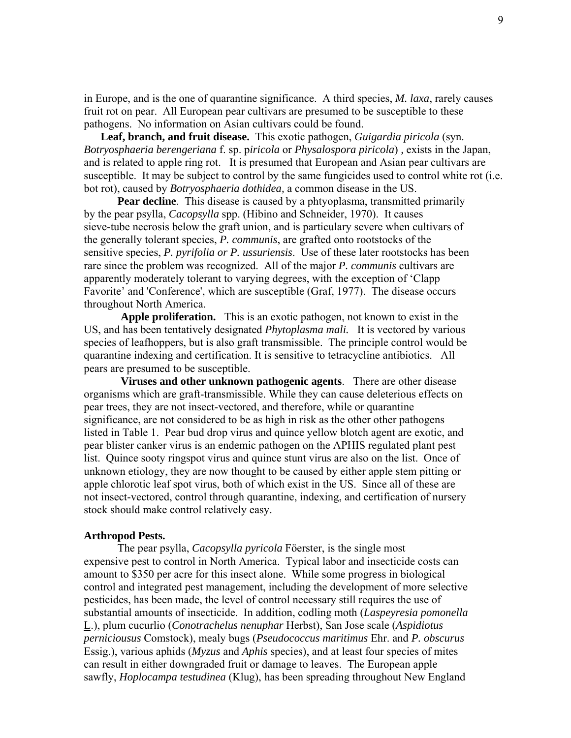in Europe, and is the one of quarantine significance. A third species, *M. laxa*, rarely causes fruit rot on pear. All European pear cultivars are presumed to be susceptible to these pathogens. No information on Asian cultivars could be found.

**Leaf, branch, and fruit disease.** This exotic pathogen, *Guigardia piricola* (syn. *Botryosphaeria berengeriana* f. sp. p*iricola* or *Physalospora piricola*) *,* exists in the Japan, and is related to apple ring rot. It is presumed that European and Asian pear cultivars are susceptible. It may be subject to control by the same fungicides used to control white rot (i.e. bot rot), caused by *Botryosphaeria dothidea,* a common disease in the US.

**Pear decline**. This disease is caused by a phtyoplasma, transmitted primarily by the pear psylla, *Cacopsylla* spp. (Hibino and Schneider, 1970). It causes sieve-tube necrosis below the graft union, and is particulary severe when cultivars of the generally tolerant species, *P. communis*, are grafted onto rootstocks of the sensitive species, *P. pyrifolia or P. ussuriensis*. Use of these later rootstocks has been rare since the problem was recognized. All of the major *P. communis* cultivars are apparently moderately tolerant to varying degrees, with the exception of 'Clapp Favorite' and 'Conference', which are susceptible (Graf, 1977). The disease occurs throughout North America.

 **Apple proliferation.** This is an exotic pathogen, not known to exist in the US, and has been tentatively designated *Phytoplasma mali.* It is vectored by various species of leafhoppers, but is also graft transmissible. The principle control would be quarantine indexing and certification. It is sensitive to tetracycline antibiotics. All pears are presumed to be susceptible.

 **Viruses and other unknown pathogenic agents**. There are other disease organisms which are graft-transmissible. While they can cause deleterious effects on pear trees, they are not insect-vectored, and therefore, while or quarantine significance, are not considered to be as high in risk as the other other pathogens listed in Table 1. Pear bud drop virus and quince yellow blotch agent are exotic, and pear blister canker virus is an endemic pathogen on the APHIS regulated plant pest list. Quince sooty ringspot virus and quince stunt virus are also on the list. Once of unknown etiology, they are now thought to be caused by either apple stem pitting or apple chlorotic leaf spot virus, both of which exist in the US. Since all of these are not insect-vectored, control through quarantine, indexing, and certification of nursery stock should make control relatively easy.

## **Arthropod Pests.**

 The pear psylla, *Cacopsylla pyricola* Föerster, is the single most expensive pest to control in North America. Typical labor and insecticide costs can amount to \$350 per acre for this insect alone. While some progress in biological control and integrated pest management, including the development of more selective pesticides, has been made, the level of control necessary still requires the use of substantial amounts of insecticide. In addition, codling moth (*Laspeyresia pomonella* L.), plum cucurlio (*Conotrachelus nenuphar* Herbst), San Jose scale (*Aspidiotus perniciousus* Comstock), mealy bugs (*Pseudococcus maritimus* Ehr. and *P. obscurus* Essig.), various aphids (*Myzus* and *Aphis* species), and at least four species of mites can result in either downgraded fruit or damage to leaves. The European apple sawfly, *Hoplocampa testudinea* (Klug), has been spreading throughout New England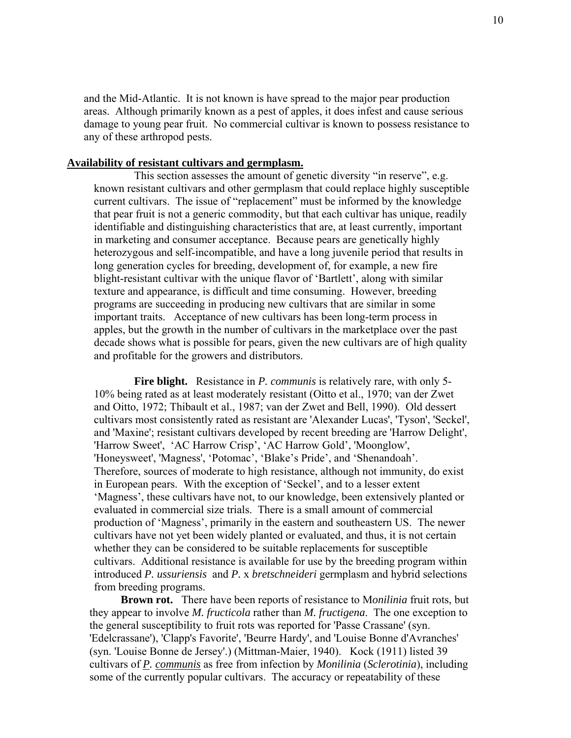and the Mid-Atlantic. It is not known is have spread to the major pear production areas. Although primarily known as a pest of apples, it does infest and cause serious damage to young pear fruit. No commercial cultivar is known to possess resistance to any of these arthropod pests.

### **Availability of resistant cultivars and germplasm.**

 This section assesses the amount of genetic diversity "in reserve", e.g. known resistant cultivars and other germplasm that could replace highly susceptible current cultivars. The issue of "replacement" must be informed by the knowledge that pear fruit is not a generic commodity, but that each cultivar has unique, readily identifiable and distinguishing characteristics that are, at least currently, important in marketing and consumer acceptance. Because pears are genetically highly heterozygous and self-incompatible, and have a long juvenile period that results in long generation cycles for breeding, development of, for example, a new fire blight-resistant cultivar with the unique flavor of 'Bartlett', along with similar texture and appearance, is difficult and time consuming. However, breeding programs are succeeding in producing new cultivars that are similar in some important traits. Acceptance of new cultivars has been long-term process in apples, but the growth in the number of cultivars in the marketplace over the past decade shows what is possible for pears, given the new cultivars are of high quality and profitable for the growers and distributors.

 **Fire blight.** Resistance in *P. communis* is relatively rare, with only 5- 10% being rated as at least moderately resistant (Oitto et al., 1970; van der Zwet and Oitto, 1972; Thibault et al., 1987; van der Zwet and Bell, 1990). Old dessert cultivars most consistently rated as resistant are 'Alexander Lucas', 'Tyson', 'Seckel', and 'Maxine'; resistant cultivars developed by recent breeding are 'Harrow Delight', 'Harrow Sweet', 'AC Harrow Crisp', 'AC Harrow Gold', 'Moonglow', 'Honeysweet', 'Magness', 'Potomac', 'Blake's Pride', and 'Shenandoah'. Therefore, sources of moderate to high resistance, although not immunity, do exist in European pears. With the exception of 'Seckel', and to a lesser extent 'Magness', these cultivars have not, to our knowledge, been extensively planted or evaluated in commercial size trials. There is a small amount of commercial production of 'Magness', primarily in the eastern and southeastern US. The newer cultivars have not yet been widely planted or evaluated, and thus, it is not certain whether they can be considered to be suitable replacements for susceptible cultivars. Additional resistance is available for use by the breeding program within introduced *P. ussuriensis* and *P.* x *bretschneideri* germplasm and hybrid selections from breeding programs.

 **Brown rot.** There have been reports of resistance to M*onilinia* fruit rots, but they appear to involve *M. fructicola* rather than *M. fructigena*. The one exception to the general susceptibility to fruit rots was reported for 'Passe Crassane' (syn. 'Edelcrassane'), 'Clapp's Favorite', 'Beurre Hardy', and 'Louise Bonne d'Avranches' (syn. 'Louise Bonne de Jersey'.) (Mittman-Maier, 1940). Kock (1911) listed 39 cultivars of *P. communis* as free from infection by *Monilinia* (*Sclerotinia*), including some of the currently popular cultivars. The accuracy or repeatability of these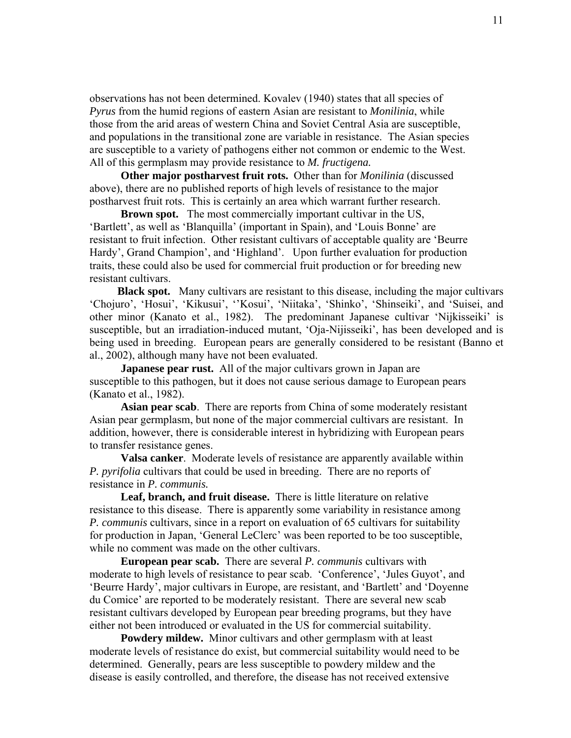observations has not been determined. Kovalev (1940) states that all species of *Pyrus* from the humid regions of eastern Asian are resistant to *Monilinia*, while those from the arid areas of western China and Soviet Central Asia are susceptible, and populations in the transitional zone are variable in resistance. The Asian species are susceptible to a variety of pathogens either not common or endemic to the West. All of this germplasm may provide resistance to *M. fructigena.* 

 **Other major postharvest fruit rots.** Other than for *Monilinia* (discussed above), there are no published reports of high levels of resistance to the major postharvest fruit rots. This is certainly an area which warrant further research.

**Brown spot.** The most commercially important cultivar in the US, 'Bartlett', as well as 'Blanquilla' (important in Spain), and 'Louis Bonne' are resistant to fruit infection. Other resistant cultivars of acceptable quality are 'Beurre Hardy', Grand Champion', and 'Highland'. Upon further evaluation for production traits, these could also be used for commercial fruit production or for breeding new resistant cultivars.

 **Black spot.** Many cultivars are resistant to this disease, including the major cultivars 'Chojuro', 'Hosui', 'Kikusui', ''Kosui', 'Niitaka', 'Shinko', 'Shinseiki', and 'Suisei, and other minor (Kanato et al., 1982). The predominant Japanese cultivar 'Nijkisseiki' is susceptible, but an irradiation-induced mutant, 'Oja-Nijisseiki', has been developed and is being used in breeding. European pears are generally considered to be resistant (Banno et al., 2002), although many have not been evaluated.

**Japanese pear rust.** All of the major cultivars grown in Japan are susceptible to this pathogen, but it does not cause serious damage to European pears (Kanato et al., 1982).

 **Asian pear scab**. There are reports from China of some moderately resistant Asian pear germplasm, but none of the major commercial cultivars are resistant. In addition, however, there is considerable interest in hybridizing with European pears to transfer resistance genes.

 **Valsa canker**. Moderate levels of resistance are apparently available within *P. pyrifolia* cultivars that could be used in breeding. There are no reports of resistance in *P. communis.*

 **Leaf, branch, and fruit disease.** There is little literature on relative resistance to this disease. There is apparently some variability in resistance among *P. communis* cultivars, since in a report on evaluation of 65 cultivars for suitability for production in Japan, 'General LeClerc' was been reported to be too susceptible, while no comment was made on the other cultivars.

 **European pear scab.** There are several *P. communis* cultivars with moderate to high levels of resistance to pear scab. 'Conference', 'Jules Guyot', and 'Beurre Hardy', major cultivars in Europe, are resistant, and 'Bartlett' and 'Doyenne du Comice' are reported to be moderately resistant. There are several new scab resistant cultivars developed by European pear breeding programs, but they have either not been introduced or evaluated in the US for commercial suitability.

 **Powdery mildew.** Minor cultivars and other germplasm with at least moderate levels of resistance do exist, but commercial suitability would need to be determined. Generally, pears are less susceptible to powdery mildew and the disease is easily controlled, and therefore, the disease has not received extensive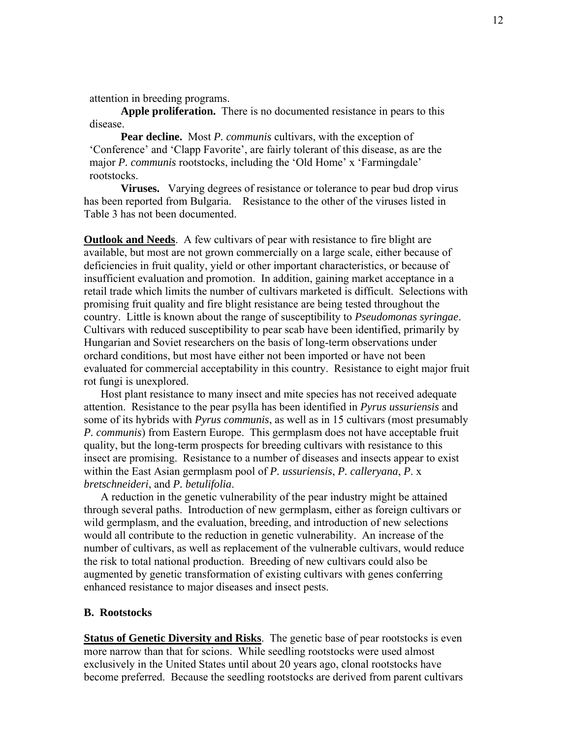attention in breeding programs.

 **Apple proliferation.** There is no documented resistance in pears to this disease.

 **Pear decline.** Most *P. communis* cultivars, with the exception of 'Conference' and 'Clapp Favorite', are fairly tolerant of this disease, as are the major *P. communis* rootstocks, including the 'Old Home' x 'Farmingdale' rootstocks.

 **Viruses.** Varying degrees of resistance or tolerance to pear bud drop virus has been reported from Bulgaria. Resistance to the other of the viruses listed in Table 3 has not been documented.

**Outlook and Needs**. A few cultivars of pear with resistance to fire blight are available, but most are not grown commercially on a large scale, either because of deficiencies in fruit quality, yield or other important characteristics, or because of insufficient evaluation and promotion. In addition, gaining market acceptance in a retail trade which limits the number of cultivars marketed is difficult. Selections with promising fruit quality and fire blight resistance are being tested throughout the country. Little is known about the range of susceptibility to *Pseudomonas syringae*. Cultivars with reduced susceptibility to pear scab have been identified, primarily by Hungarian and Soviet researchers on the basis of long-term observations under orchard conditions, but most have either not been imported or have not been evaluated for commercial acceptability in this country. Resistance to eight major fruit rot fungi is unexplored.

 Host plant resistance to many insect and mite species has not received adequate attention. Resistance to the pear psylla has been identified in *Pyrus ussuriensis* and some of its hybrids with *Pyrus communis*, as well as in 15 cultivars (most presumably *P. communis*) from Eastern Europe. This germplasm does not have acceptable fruit quality, but the long-term prospects for breeding cultivars with resistance to this insect are promising. Resistance to a number of diseases and insects appear to exist within the East Asian germplasm pool of *P. ussuriensis*, *P. calleryana*, *P*. x *bretschneideri*, and *P. betulifolia*.

 A reduction in the genetic vulnerability of the pear industry might be attained through several paths. Introduction of new germplasm, either as foreign cultivars or wild germplasm, and the evaluation, breeding, and introduction of new selections would all contribute to the reduction in genetic vulnerability. An increase of the number of cultivars, as well as replacement of the vulnerable cultivars, would reduce the risk to total national production. Breeding of new cultivars could also be augmented by genetic transformation of existing cultivars with genes conferring enhanced resistance to major diseases and insect pests.

## **B. Rootstocks**

**Status of Genetic Diversity and Risks**. The genetic base of pear rootstocks is even more narrow than that for scions. While seedling rootstocks were used almost exclusively in the United States until about 20 years ago, clonal rootstocks have become preferred. Because the seedling rootstocks are derived from parent cultivars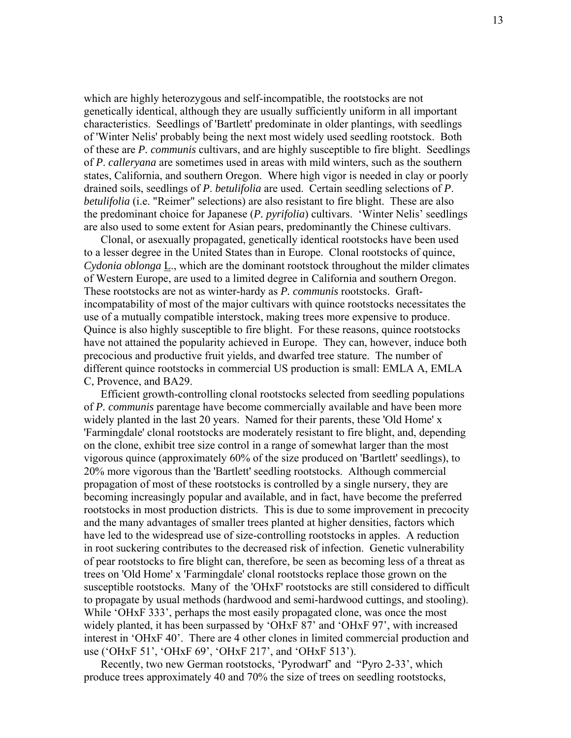which are highly heterozygous and self-incompatible, the rootstocks are not genetically identical, although they are usually sufficiently uniform in all important characteristics. Seedlings of 'Bartlett' predominate in older plantings, with seedlings of 'Winter Nelis' probably being the next most widely used seedling rootstock. Both of these are *P. communis* cultivars, and are highly susceptible to fire blight. Seedlings of *P*. *calleryana* are sometimes used in areas with mild winters, such as the southern states, California, and southern Oregon. Where high vigor is needed in clay or poorly drained soils, seedlings of *P*. *betulifolia* are used. Certain seedling selections of *P*. *betulifolia* (i.e. "Reimer" selections) are also resistant to fire blight. These are also the predominant choice for Japanese (*P. pyrifolia*) cultivars. 'Winter Nelis' seedlings are also used to some extent for Asian pears, predominantly the Chinese cultivars.

 Clonal, or asexually propagated, genetically identical rootstocks have been used to a lesser degree in the United States than in Europe. Clonal rootstocks of quince, *Cydonia oblonga* L., which are the dominant rootstock throughout the milder climates of Western Europe, are used to a limited degree in California and southern Oregon. These rootstocks are not as winter-hardy as *P. communis* rootstocks. Graftincompatability of most of the major cultivars with quince rootstocks necessitates the use of a mutually compatible interstock, making trees more expensive to produce. Quince is also highly susceptible to fire blight. For these reasons, quince rootstocks have not attained the popularity achieved in Europe. They can, however, induce both precocious and productive fruit yields, and dwarfed tree stature. The number of different quince rootstocks in commercial US production is small: EMLA A, EMLA C, Provence, and BA29.

 Efficient growth-controlling clonal rootstocks selected from seedling populations of *P. communis* parentage have become commercially available and have been more widely planted in the last 20 years. Named for their parents, these 'Old Home' x 'Farmingdale' clonal rootstocks are moderately resistant to fire blight, and, depending on the clone, exhibit tree size control in a range of somewhat larger than the most vigorous quince (approximately 60% of the size produced on 'Bartlett' seedlings), to 20% more vigorous than the 'Bartlett' seedling rootstocks. Although commercial propagation of most of these rootstocks is controlled by a single nursery, they are becoming increasingly popular and available, and in fact, have become the preferred rootstocks in most production districts. This is due to some improvement in precocity and the many advantages of smaller trees planted at higher densities, factors which have led to the widespread use of size-controlling rootstocks in apples. A reduction in root suckering contributes to the decreased risk of infection. Genetic vulnerability of pear rootstocks to fire blight can, therefore, be seen as becoming less of a threat as trees on 'Old Home' x 'Farmingdale' clonal rootstocks replace those grown on the susceptible rootstocks. Many of the 'OHxF' rootstocks are still considered to difficult to propagate by usual methods (hardwood and semi-hardwood cuttings, and stooling). While 'OHxF 333', perhaps the most easily propagated clone, was once the most widely planted, it has been surpassed by 'OHxF 87' and 'OHxF 97', with increased interest in 'OHxF 40'. There are 4 other clones in limited commercial production and use ('OHxF 51', 'OHxF 69', 'OHxF 217', and 'OHxF 513').

 Recently, two new German rootstocks, 'Pyrodwarf' and "Pyro 2-33', which produce trees approximately 40 and 70% the size of trees on seedling rootstocks,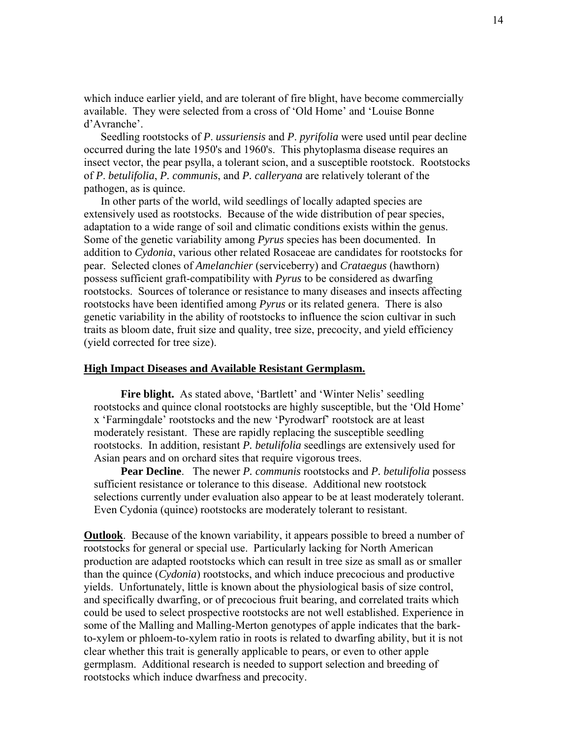which induce earlier yield, and are tolerant of fire blight, have become commercially available. They were selected from a cross of 'Old Home' and 'Louise Bonne d'Avranche'.

 Seedling rootstocks of *P*. *ussuriensis* and *P*. *pyrifolia* were used until pear decline occurred during the late 1950's and 1960's. This phytoplasma disease requires an insect vector, the pear psylla, a tolerant scion, and a susceptible rootstock. Rootstocks of *P*. *betulifolia*, *P. communis*, and *P. calleryana* are relatively tolerant of the pathogen, as is quince.

 In other parts of the world, wild seedlings of locally adapted species are extensively used as rootstocks. Because of the wide distribution of pear species, adaptation to a wide range of soil and climatic conditions exists within the genus. Some of the genetic variability among *Pyrus* species has been documented. In addition to *Cydonia*, various other related Rosaceae are candidates for rootstocks for pear. Selected clones of *Amelanchier* (serviceberry) and *Crataegus* (hawthorn) possess sufficient graft-compatibility with *Pyrus* to be considered as dwarfing rootstocks. Sources of tolerance or resistance to many diseases and insects affecting rootstocks have been identified among *Pyrus* or its related genera. There is also genetic variability in the ability of rootstocks to influence the scion cultivar in such traits as bloom date, fruit size and quality, tree size, precocity, and yield efficiency (yield corrected for tree size).

## **High Impact Diseases and Available Resistant Germplasm.**

Fire blight. As stated above, 'Bartlett' and 'Winter Nelis' seedling rootstocks and quince clonal rootstocks are highly susceptible, but the 'Old Home' x 'Farmingdale' rootstocks and the new 'Pyrodwarf' rootstock are at least moderately resistant. These are rapidly replacing the susceptible seedling rootstocks. In addition, resistant *P. betulifolia* seedlings are extensively used for Asian pears and on orchard sites that require vigorous trees.

 **Pear Decline**. The newer *P. communis* rootstocks and *P. betulifolia* possess sufficient resistance or tolerance to this disease. Additional new rootstock selections currently under evaluation also appear to be at least moderately tolerant. Even Cydonia (quince) rootstocks are moderately tolerant to resistant.

**Outlook**. Because of the known variability, it appears possible to breed a number of rootstocks for general or special use. Particularly lacking for North American production are adapted rootstocks which can result in tree size as small as or smaller than the quince (*Cydonia*) rootstocks, and which induce precocious and productive yields. Unfortunately, little is known about the physiological basis of size control, and specifically dwarfing, or of precocious fruit bearing, and correlated traits which could be used to select prospective rootstocks are not well established. Experience in some of the Malling and Malling-Merton genotypes of apple indicates that the barkto-xylem or phloem-to-xylem ratio in roots is related to dwarfing ability, but it is not clear whether this trait is generally applicable to pears, or even to other apple germplasm. Additional research is needed to support selection and breeding of rootstocks which induce dwarfness and precocity.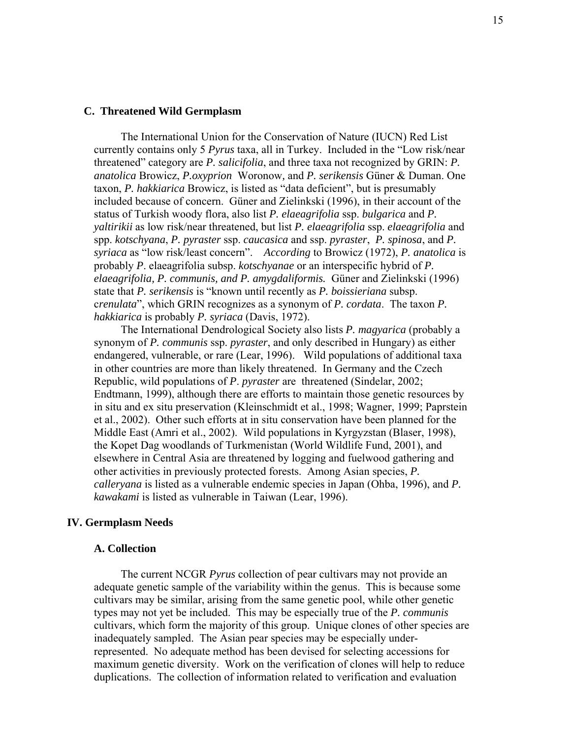#### **C. Threatened Wild Germplasm**

 The International Union for the Conservation of Nature (IUCN) Red List currently contains only 5 *Pyrus* taxa, all in Turkey. Included in the "Low risk/near threatened" category are *P. salicifolia*, and three taxa not recognized by GRIN: *P. anatolica* Browicz, *P.oxyprion* Woronow*,* and *P. serikensis* Güner & Duman. One taxon, *P. hakkiarica* Browicz, is listed as "data deficient", but is presumably included because of concern. Güner and Zielinkski (1996), in their account of the status of Turkish woody flora, also list *P. elaeagrifolia* ssp. *bulgarica* and *P. yaltirikii* as low risk/near threatened, but list *P. elaeagrifolia* ssp. *elaeagrifolia* and spp. *kotschyana*, *P. pyraster* ssp. *caucasica* and ssp. *pyraster*, *P. spinosa*, and *P. syriaca* as "low risk/least concern". *According* to Browicz (1972), *P. anatolica* is probably *P*. elaeagrifolia subsp. *kotschyanae* or an interspecific hybrid of *P. elaeagrifolia, P. communis, and P. amygdaliformis.* Güner and Zielinkski (1996) state that *P. serikensis* is "known until recently as *P. boissieriana* subsp. c*renulata*", which GRIN recognizes as a synonym of *P. cordata*. The taxon *P. hakkiarica* is probably *P. syriaca* (Davis, 1972).

 The International Dendrological Society also lists *P. magyarica* (probably a synonym of *P. communis* ssp. *pyraster*, and only described in Hungary) as either endangered, vulnerable, or rare (Lear, 1996). Wild populations of additional taxa in other countries are more than likely threatened. In Germany and the Czech Republic, wild populations of *P*. *pyraster* are threatened (Sindelar, 2002; Endtmann, 1999), although there are efforts to maintain those genetic resources by in situ and ex situ preservation (Kleinschmidt et al., 1998; Wagner, 1999; Paprstein et al., 2002). Other such efforts at in situ conservation have been planned for the Middle East (Amri et al., 2002). Wild populations in Kyrgyzstan (Blaser, 1998), the Kopet Dag woodlands of Turkmenistan (World Wildlife Fund, 2001), and elsewhere in Central Asia are threatened by logging and fuelwood gathering and other activities in previously protected forests. Among Asian species, *P. calleryana* is listed as a vulnerable endemic species in Japan (Ohba, 1996), and *P. kawakami* is listed as vulnerable in Taiwan (Lear, 1996).

## **IV. Germplasm Needs**

## **A. Collection**

 The current NCGR *Pyrus* collection of pear cultivars may not provide an adequate genetic sample of the variability within the genus. This is because some cultivars may be similar, arising from the same genetic pool, while other genetic types may not yet be included. This may be especially true of the *P. communis* cultivars, which form the majority of this group. Unique clones of other species are inadequately sampled. The Asian pear species may be especially underrepresented. No adequate method has been devised for selecting accessions for maximum genetic diversity. Work on the verification of clones will help to reduce duplications. The collection of information related to verification and evaluation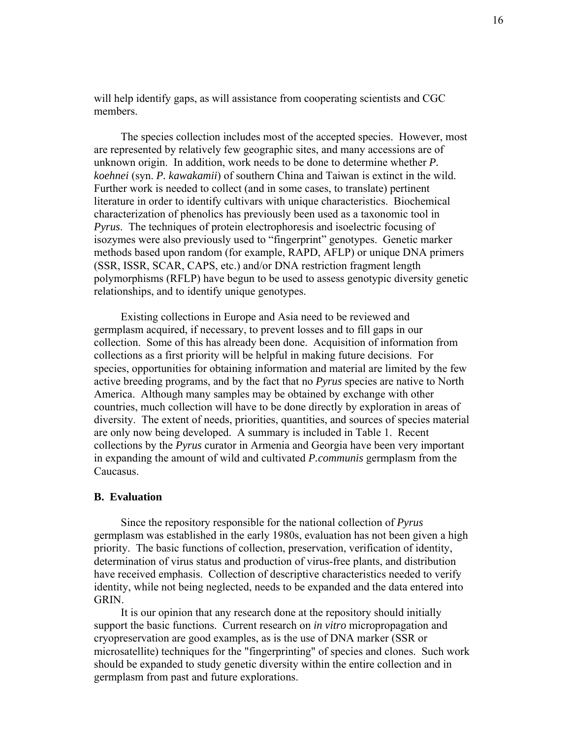will help identify gaps, as will assistance from cooperating scientists and CGC members.

 The species collection includes most of the accepted species. However, most are represented by relatively few geographic sites, and many accessions are of unknown origin. In addition, work needs to be done to determine whether *P. koehnei* (syn. *P. kawakamii*) of southern China and Taiwan is extinct in the wild. Further work is needed to collect (and in some cases, to translate) pertinent literature in order to identify cultivars with unique characteristics. Biochemical characterization of phenolics has previously been used as a taxonomic tool in *Pyrus*. The techniques of protein electrophoresis and isoelectric focusing of isozymes were also previously used to "fingerprint" genotypes. Genetic marker methods based upon random (for example, RAPD, AFLP) or unique DNA primers (SSR, ISSR, SCAR, CAPS, etc.) and/or DNA restriction fragment length polymorphisms (RFLP) have begun to be used to assess genotypic diversity genetic relationships, and to identify unique genotypes.

 Existing collections in Europe and Asia need to be reviewed and germplasm acquired, if necessary, to prevent losses and to fill gaps in our collection. Some of this has already been done. Acquisition of information from collections as a first priority will be helpful in making future decisions. For species, opportunities for obtaining information and material are limited by the few active breeding programs, and by the fact that no *Pyrus* species are native to North America. Although many samples may be obtained by exchange with other countries, much collection will have to be done directly by exploration in areas of diversity. The extent of needs, priorities, quantities, and sources of species material are only now being developed. A summary is included in Table 1. Recent collections by the *Pyrus* curator in Armenia and Georgia have been very important in expanding the amount of wild and cultivated *P.communis* germplasm from the Caucasus.

## **B. Evaluation**

 Since the repository responsible for the national collection of *Pyrus*  germplasm was established in the early 1980s, evaluation has not been given a high priority. The basic functions of collection, preservation, verification of identity, determination of virus status and production of virus-free plants, and distribution have received emphasis. Collection of descriptive characteristics needed to verify identity, while not being neglected, needs to be expanded and the data entered into GRIN.

 It is our opinion that any research done at the repository should initially support the basic functions. Current research on *in vitro* micropropagation and cryopreservation are good examples, as is the use of DNA marker (SSR or microsatellite) techniques for the "fingerprinting" of species and clones. Such work should be expanded to study genetic diversity within the entire collection and in germplasm from past and future explorations.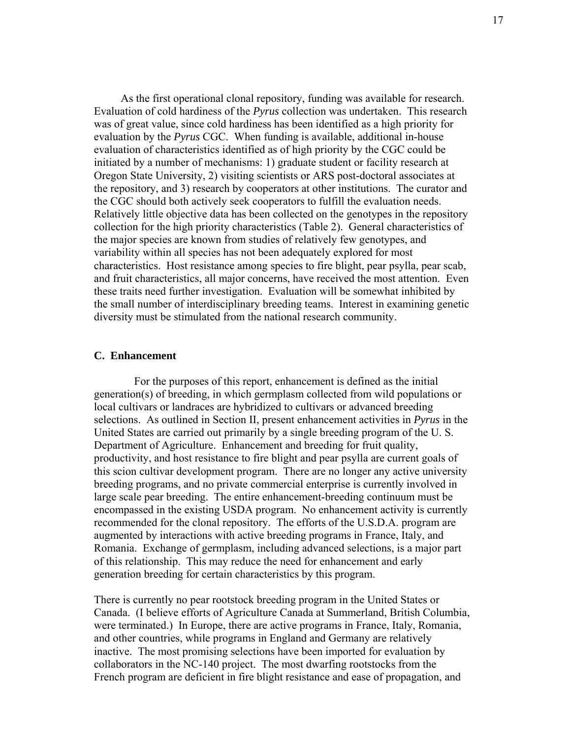As the first operational clonal repository, funding was available for research. Evaluation of cold hardiness of the *Pyrus* collection was undertaken. This research was of great value, since cold hardiness has been identified as a high priority for evaluation by the *Pyrus* CGC. When funding is available, additional in-house evaluation of characteristics identified as of high priority by the CGC could be initiated by a number of mechanisms: 1) graduate student or facility research at Oregon State University, 2) visiting scientists or ARS post-doctoral associates at the repository, and 3) research by cooperators at other institutions. The curator and the CGC should both actively seek cooperators to fulfill the evaluation needs. Relatively little objective data has been collected on the genotypes in the repository collection for the high priority characteristics (Table 2). General characteristics of the major species are known from studies of relatively few genotypes, and variability within all species has not been adequately explored for most characteristics. Host resistance among species to fire blight, pear psylla, pear scab, and fruit characteristics, all major concerns, have received the most attention. Even these traits need further investigation. Evaluation will be somewhat inhibited by the small number of interdisciplinary breeding teams. Interest in examining genetic diversity must be stimulated from the national research community.

## **C. Enhancement**

 For the purposes of this report, enhancement is defined as the initial generation(s) of breeding, in which germplasm collected from wild populations or local cultivars or landraces are hybridized to cultivars or advanced breeding selections. As outlined in Section II, present enhancement activities in *Pyrus* in the United States are carried out primarily by a single breeding program of the U. S. Department of Agriculture. Enhancement and breeding for fruit quality, productivity, and host resistance to fire blight and pear psylla are current goals of this scion cultivar development program. There are no longer any active university breeding programs, and no private commercial enterprise is currently involved in large scale pear breeding. The entire enhancement-breeding continuum must be encompassed in the existing USDA program. No enhancement activity is currently recommended for the clonal repository. The efforts of the U.S.D.A. program are augmented by interactions with active breeding programs in France, Italy, and Romania. Exchange of germplasm, including advanced selections, is a major part of this relationship. This may reduce the need for enhancement and early generation breeding for certain characteristics by this program.

There is currently no pear rootstock breeding program in the United States or Canada. (I believe efforts of Agriculture Canada at Summerland, British Columbia, were terminated.) In Europe, there are active programs in France, Italy, Romania, and other countries, while programs in England and Germany are relatively inactive. The most promising selections have been imported for evaluation by collaborators in the NC-140 project. The most dwarfing rootstocks from the French program are deficient in fire blight resistance and ease of propagation, and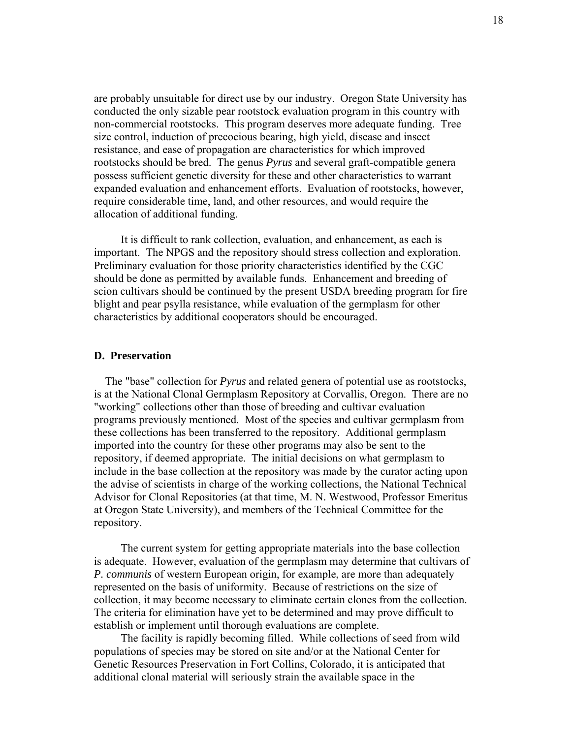are probably unsuitable for direct use by our industry. Oregon State University has conducted the only sizable pear rootstock evaluation program in this country with non-commercial rootstocks. This program deserves more adequate funding. Tree size control, induction of precocious bearing, high yield, disease and insect resistance, and ease of propagation are characteristics for which improved rootstocks should be bred. The genus *Pyrus* and several graft-compatible genera possess sufficient genetic diversity for these and other characteristics to warrant expanded evaluation and enhancement efforts. Evaluation of rootstocks, however, require considerable time, land, and other resources, and would require the allocation of additional funding.

 It is difficult to rank collection, evaluation, and enhancement, as each is important. The NPGS and the repository should stress collection and exploration. Preliminary evaluation for those priority characteristics identified by the CGC should be done as permitted by available funds. Enhancement and breeding of scion cultivars should be continued by the present USDA breeding program for fire blight and pear psylla resistance, while evaluation of the germplasm for other characteristics by additional cooperators should be encouraged.

## **D. Preservation**

 The "base" collection for *Pyrus* and related genera of potential use as rootstocks, is at the National Clonal Germplasm Repository at Corvallis, Oregon. There are no "working" collections other than those of breeding and cultivar evaluation programs previously mentioned. Most of the species and cultivar germplasm from these collections has been transferred to the repository. Additional germplasm imported into the country for these other programs may also be sent to the repository, if deemed appropriate. The initial decisions on what germplasm to include in the base collection at the repository was made by the curator acting upon the advise of scientists in charge of the working collections, the National Technical Advisor for Clonal Repositories (at that time, M. N. Westwood, Professor Emeritus at Oregon State University), and members of the Technical Committee for the repository.

 The current system for getting appropriate materials into the base collection is adequate. However, evaluation of the germplasm may determine that cultivars of *P. communis* of western European origin, for example, are more than adequately represented on the basis of uniformity. Because of restrictions on the size of collection, it may become necessary to eliminate certain clones from the collection. The criteria for elimination have yet to be determined and may prove difficult to establish or implement until thorough evaluations are complete.

 The facility is rapidly becoming filled. While collections of seed from wild populations of species may be stored on site and/or at the National Center for Genetic Resources Preservation in Fort Collins, Colorado, it is anticipated that additional clonal material will seriously strain the available space in the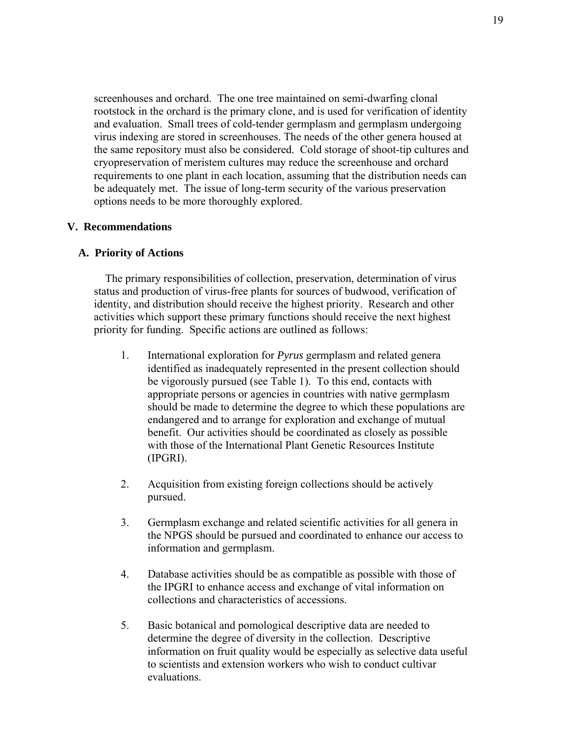screenhouses and orchard. The one tree maintained on semi-dwarfing clonal rootstock in the orchard is the primary clone, and is used for verification of identity and evaluation. Small trees of cold-tender germplasm and germplasm undergoing virus indexing are stored in screenhouses. The needs of the other genera housed at the same repository must also be considered. Cold storage of shoot-tip cultures and cryopreservation of meristem cultures may reduce the screenhouse and orchard requirements to one plant in each location, assuming that the distribution needs can be adequately met. The issue of long-term security of the various preservation options needs to be more thoroughly explored.

## **V. Recommendations**

## **A. Priority of Actions**

 The primary responsibilities of collection, preservation, determination of virus status and production of virus-free plants for sources of budwood, verification of identity, and distribution should receive the highest priority. Research and other activities which support these primary functions should receive the next highest priority for funding. Specific actions are outlined as follows:

- 1. International exploration for *Pyrus* germplasm and related genera identified as inadequately represented in the present collection should be vigorously pursued (see Table 1). To this end, contacts with appropriate persons or agencies in countries with native germplasm should be made to determine the degree to which these populations are endangered and to arrange for exploration and exchange of mutual benefit. Our activities should be coordinated as closely as possible with those of the International Plant Genetic Resources Institute (IPGRI).
- 2. Acquisition from existing foreign collections should be actively pursued.
- 3. Germplasm exchange and related scientific activities for all genera in the NPGS should be pursued and coordinated to enhance our access to information and germplasm.
- 4. Database activities should be as compatible as possible with those of the IPGRI to enhance access and exchange of vital information on collections and characteristics of accessions.
- 5. Basic botanical and pomological descriptive data are needed to determine the degree of diversity in the collection. Descriptive information on fruit quality would be especially as selective data useful to scientists and extension workers who wish to conduct cultivar evaluations.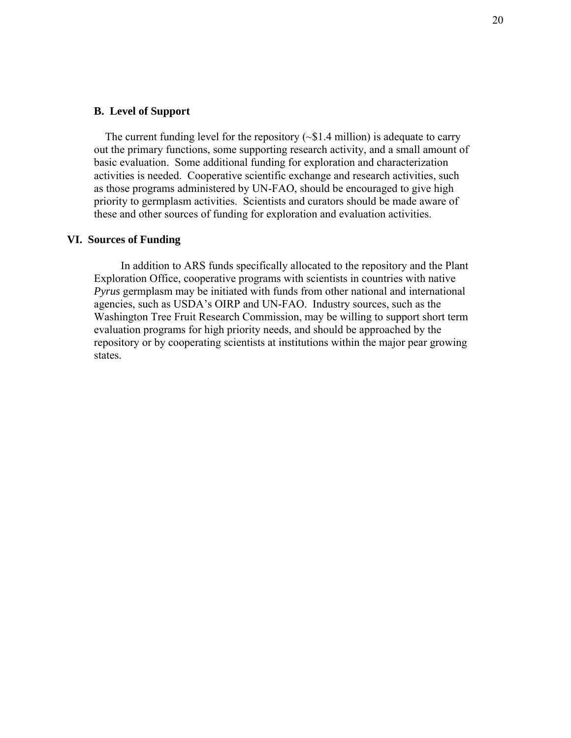## **B. Level of Support**

The current funding level for the repository  $(\sim 1.4 \text{ million})$  is adequate to carry out the primary functions, some supporting research activity, and a small amount of basic evaluation. Some additional funding for exploration and characterization activities is needed. Cooperative scientific exchange and research activities, such as those programs administered by UN-FAO, should be encouraged to give high priority to germplasm activities. Scientists and curators should be made aware of these and other sources of funding for exploration and evaluation activities.

## **VI. Sources of Funding**

 In addition to ARS funds specifically allocated to the repository and the Plant Exploration Office, cooperative programs with scientists in countries with native *Pyrus* germplasm may be initiated with funds from other national and international agencies, such as USDA's OIRP and UN-FAO. Industry sources, such as the Washington Tree Fruit Research Commission, may be willing to support short term evaluation programs for high priority needs, and should be approached by the repository or by cooperating scientists at institutions within the major pear growing states.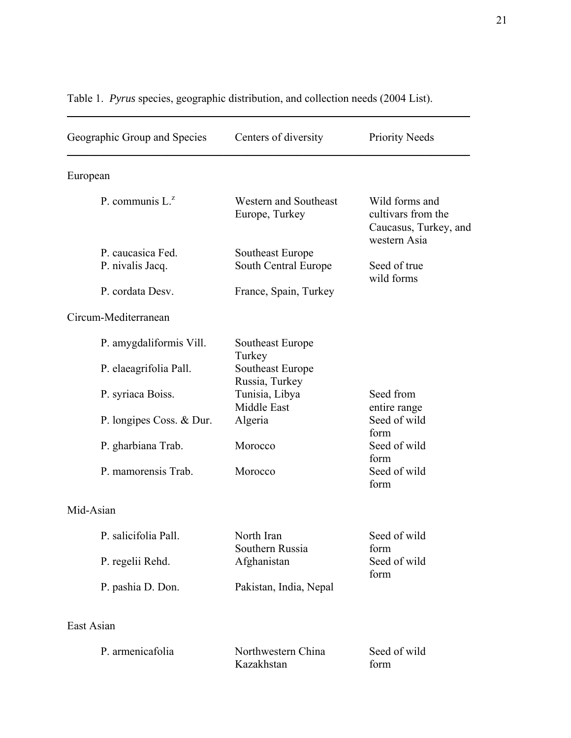| Geographic Group and Species | Centers of diversity                    | <b>Priority Needs</b>                                                         |  |
|------------------------------|-----------------------------------------|-------------------------------------------------------------------------------|--|
| European                     |                                         |                                                                               |  |
| P. communis $L^z$            | Western and Southeast<br>Europe, Turkey | Wild forms and<br>cultivars from the<br>Caucasus, Turkey, and<br>western Asia |  |
| P. caucasica Fed.            | Southeast Europe                        |                                                                               |  |
| P. nivalis Jacq.             | South Central Europe                    | Seed of true<br>wild forms                                                    |  |
| P. cordata Desv.             | France, Spain, Turkey                   |                                                                               |  |
| Circum-Mediterranean         |                                         |                                                                               |  |
| P. amygdaliformis Vill.      | Southeast Europe<br>Turkey              |                                                                               |  |
| P. elaeagrifolia Pall.       | Southeast Europe<br>Russia, Turkey      |                                                                               |  |
| P. syriaca Boiss.            | Tunisia, Libya<br>Middle East           | Seed from<br>entire range                                                     |  |
| P. longipes Coss. & Dur.     | Algeria                                 | Seed of wild<br>form                                                          |  |
| P. gharbiana Trab.           | Morocco                                 | Seed of wild<br>form                                                          |  |
| P. mamorensis Trab.          | Morocco                                 | Seed of wild<br>form                                                          |  |
| Mid-Asian                    |                                         |                                                                               |  |
| P. salicifolia Pall.         | North Iran<br>Southern Russia           | Seed of wild<br>form                                                          |  |
| P. regelii Rehd.             | Afghanistan                             | Seed of wild<br>form                                                          |  |
| P. pashia D. Don.            | Pakistan, India, Nepal                  |                                                                               |  |
| East Asian                   |                                         |                                                                               |  |
| P. armenicafolia             | Northwestern China<br>Kazakhstan        | Seed of wild<br>form                                                          |  |

# Table 1. *Pyrus* species, geographic distribution, and collection needs (2004 List).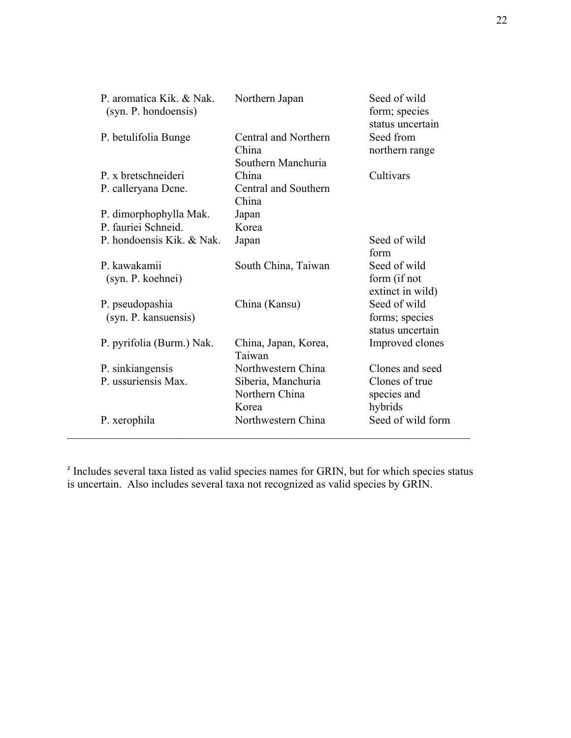| P. aromatica Kik. & Nak.<br>(syn. P. hondoensis) | Northern Japan                                      | Seed of wild<br>form; species<br>status uncertain  |
|--------------------------------------------------|-----------------------------------------------------|----------------------------------------------------|
| P. betulifolia Bunge                             | Central and Northern<br>China<br>Southern Manchuria | Seed from<br>northern range                        |
| P. x bretschneideri                              | China                                               | Cultivars                                          |
| P. calleryana Dene.                              | Central and Southern<br>China                       |                                                    |
| P. dimorphophylla Mak.                           | Japan                                               |                                                    |
| P. fauriei Schneid.                              | Korea                                               |                                                    |
| P. hondoensis Kik. & Nak.                        | Japan                                               | Seed of wild<br>form                               |
| P. kawakamii<br>(syn. P. koehnei)                | South China, Taiwan                                 | Seed of wild<br>form (if not<br>extinct in wild)   |
| P. pseudopashia<br>(syn. P. kansuensis)          | China (Kansu)                                       | Seed of wild<br>forms; species<br>status uncertain |
| P. pyrifolia (Burm.) Nak.                        | China, Japan, Korea,<br>Taiwan                      | Improved clones                                    |
| P. sinkiangensis                                 | Northwestern China                                  | Clones and seed                                    |
| P. ussuriensis Max.                              | Siberia, Manchuria<br>Northern China<br>Korea       | Clones of true<br>species and<br>hybrids           |
| P. xerophila                                     | Northwestern China                                  | Seed of wild form                                  |

<sup>z</sup> Includes several taxa listed as valid species names for GRIN, but for which species status is uncertain. Also includes several taxa not recognized as valid species by GRIN.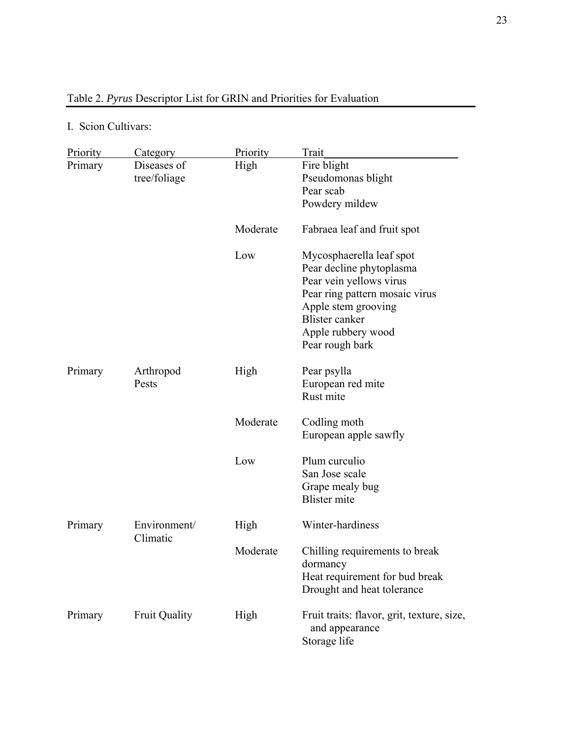# Table 2. *Pyrus* Descriptor List for GRIN and Priorities for Evaluation

## I. Scion Cultivars:

| Priority | Category                    | Priority | Trait                                                                                                                                                                                               |
|----------|-----------------------------|----------|-----------------------------------------------------------------------------------------------------------------------------------------------------------------------------------------------------|
| Primary  | Diseases of<br>tree/foliage | High     | Fire blight<br>Pseudomonas blight<br>Pear scab                                                                                                                                                      |
|          |                             |          | Powdery mildew                                                                                                                                                                                      |
|          |                             | Moderate | Fabraea leaf and fruit spot                                                                                                                                                                         |
|          |                             | Low      | Mycosphaerella leaf spot<br>Pear decline phytoplasma<br>Pear vein yellows virus<br>Pear ring pattern mosaic virus<br>Apple stem grooving<br>Blister canker<br>Apple rubbery wood<br>Pear rough bark |
| Primary  | Arthropod<br>Pests          | High     | Pear psylla<br>European red mite<br>Rust mite                                                                                                                                                       |
|          |                             | Moderate | Codling moth<br>European apple sawfly                                                                                                                                                               |
|          |                             | Low      | Plum curculio<br>San Jose scale<br>Grape mealy bug<br><b>Blister</b> mite                                                                                                                           |
| Primary  | Environment/<br>Climatic    | High     | Winter-hardiness                                                                                                                                                                                    |
|          |                             | Moderate | Chilling requirements to break<br>dormancy<br>Heat requirement for bud break<br>Drought and heat tolerance                                                                                          |
| Primary  | <b>Fruit Quality</b>        | High     | Fruit traits: flavor, grit, texture, size,<br>and appearance<br>Storage life                                                                                                                        |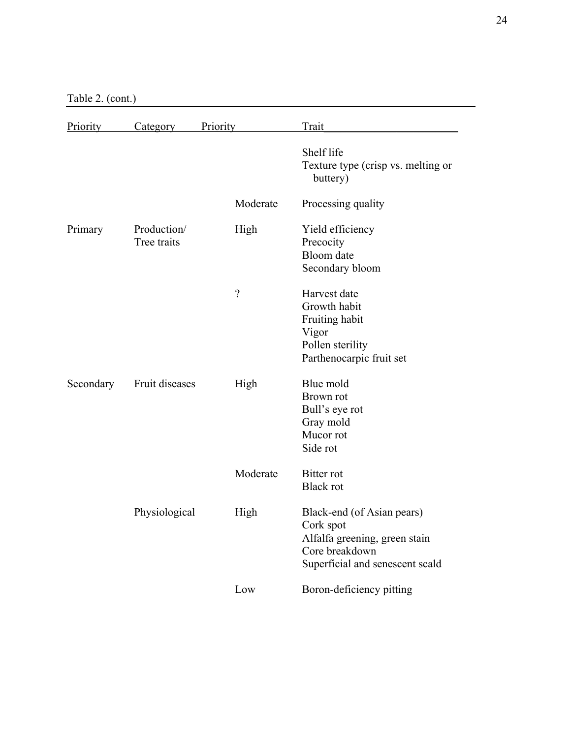Table 2. (cont.)

| <b>Priority</b> | Category                   | Priority | Trait                                                                                                                         |
|-----------------|----------------------------|----------|-------------------------------------------------------------------------------------------------------------------------------|
|                 |                            |          | Shelf life<br>Texture type (crisp vs. melting or<br>buttery)                                                                  |
|                 |                            | Moderate | Processing quality                                                                                                            |
| Primary         | Production/<br>Tree traits | High     | Yield efficiency<br>Precocity<br>Bloom date<br>Secondary bloom                                                                |
|                 |                            | $\gamma$ | Harvest date<br>Growth habit<br>Fruiting habit<br>Vigor<br>Pollen sterility<br>Parthenocarpic fruit set                       |
| Secondary       | Fruit diseases             | High     | Blue mold<br>Brown rot<br>Bull's eye rot<br>Gray mold<br>Mucor rot<br>Side rot                                                |
|                 |                            | Moderate | <b>Bitter</b> rot<br><b>Black rot</b>                                                                                         |
|                 | Physiological              | High     | Black-end (of Asian pears)<br>Cork spot<br>Alfalfa greening, green stain<br>Core breakdown<br>Superficial and senescent scald |
|                 |                            | Low      | Boron-deficiency pitting                                                                                                      |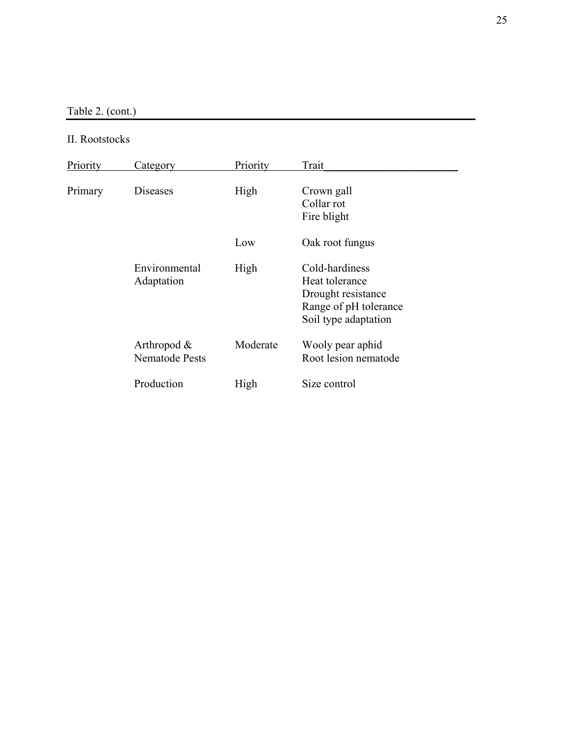Table 2. (cont.)

## II. Rootstocks

| Priority | Category                                | Priority | Trait                                                                                                   |
|----------|-----------------------------------------|----------|---------------------------------------------------------------------------------------------------------|
| Primary  | Diseases                                | High     | Crown gall<br>Collar rot<br>Fire blight                                                                 |
|          |                                         | Low      | Oak root fungus                                                                                         |
|          | Environmental<br>Adaptation             | High     | Cold-hardiness<br>Heat tolerance<br>Drought resistance<br>Range of pH tolerance<br>Soil type adaptation |
|          | Arthropod $\&$<br><b>Nematode Pests</b> | Moderate | Wooly pear aphid<br>Root lesion nematode                                                                |
|          | Production                              | High     | Size control                                                                                            |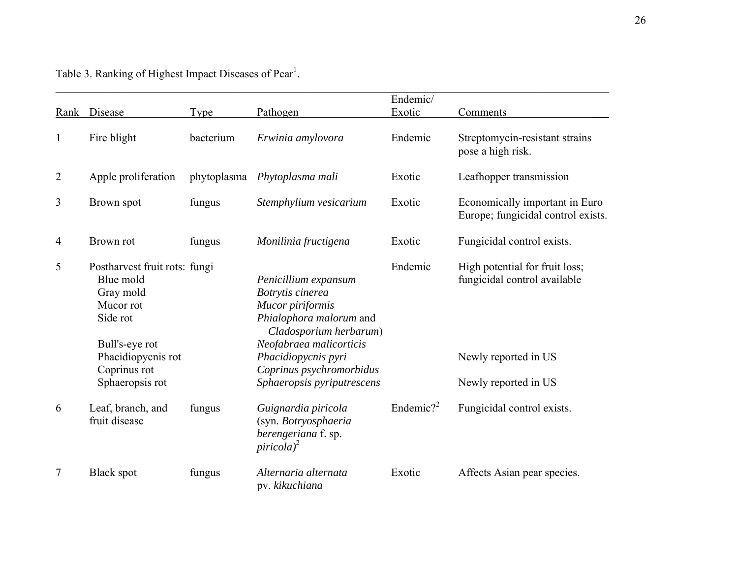Table 3. Ranking of Highest Impact Diseases of Pear<sup>1</sup>.

|                |                                                                                                                          |             |                                                                                                                                                                     | Endemic/              |                                                                                        |
|----------------|--------------------------------------------------------------------------------------------------------------------------|-------------|---------------------------------------------------------------------------------------------------------------------------------------------------------------------|-----------------------|----------------------------------------------------------------------------------------|
| Rank           | Disease                                                                                                                  | <b>Type</b> | Pathogen                                                                                                                                                            | Exotic                | Comments                                                                               |
| $\mathbf{1}$   | Fire blight                                                                                                              | bacterium   | Erwinia amylovora                                                                                                                                                   | Endemic               | Streptomycin-resistant strains<br>pose a high risk.                                    |
| $\overline{2}$ | Apple proliferation                                                                                                      |             | phytoplasma Phytoplasma mali                                                                                                                                        | Exotic                | Leafhopper transmission                                                                |
| 3              | Brown spot                                                                                                               | fungus      | Stemphylium vesicarium                                                                                                                                              | Exotic                | Economically important in Euro<br>Europe; fungicidal control exists.                   |
| 4              | Brown rot                                                                                                                | fungus      | Monilinia fructigena                                                                                                                                                | Exotic                | Fungicidal control exists.                                                             |
| 5              | Postharvest fruit rots: fungi<br>Blue mold<br>Gray mold<br>Mucor rot<br>Side rot<br>Bull's-eye rot<br>Phacidiopycnis rot |             | Penicillium expansum<br>Botrytis cinerea<br>Mucor piriformis<br>Phialophora malorum and<br>Cladosporium herbarum)<br>Neofabraea malicorticis<br>Phacidiopycnis pyri | Endemic               | High potential for fruit loss;<br>fungicidal control available<br>Newly reported in US |
|                | Coprinus rot<br>Sphaeropsis rot                                                                                          |             | Coprinus psychromorbidus<br>Sphaeropsis pyriputrescens                                                                                                              |                       | Newly reported in US                                                                   |
| 6              | Leaf, branch, and<br>fruit disease                                                                                       | fungus      | Guignardia piricola<br>(syn. Botryosphaeria<br>berengeriana f. sp.<br>$piricola)^2$                                                                                 | Endemic? <sup>2</sup> | Fungicidal control exists.                                                             |
| 7              | <b>Black spot</b>                                                                                                        | fungus      | Alternaria alternata<br>pv. kikuchiana                                                                                                                              | Exotic                | Affects Asian pear species.                                                            |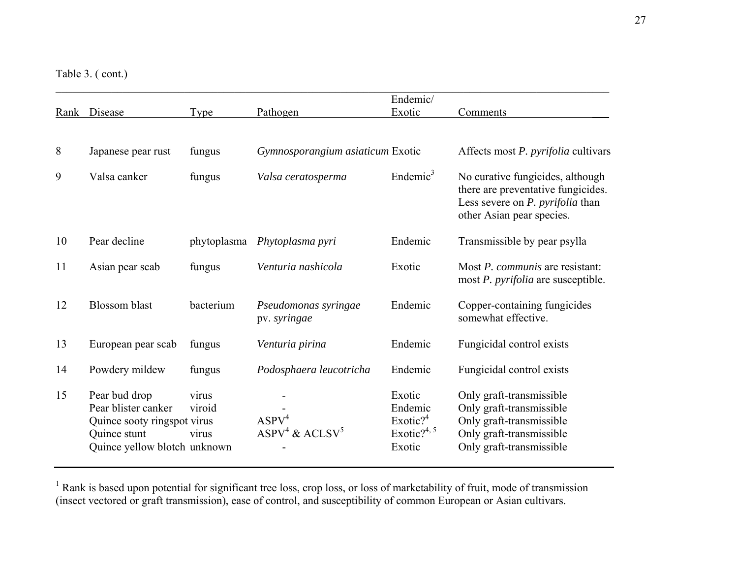Table 3. ( cont.)

|      |                                                                                                                     |                          |                                                   | Endemic/                                                              |                                                                                                                                                |
|------|---------------------------------------------------------------------------------------------------------------------|--------------------------|---------------------------------------------------|-----------------------------------------------------------------------|------------------------------------------------------------------------------------------------------------------------------------------------|
| Rank | Disease                                                                                                             | Type                     | Pathogen                                          | Exotic                                                                | Comments                                                                                                                                       |
|      |                                                                                                                     |                          |                                                   |                                                                       |                                                                                                                                                |
| 8    | Japanese pear rust                                                                                                  | fungus                   | Gymnosporangium asiaticum Exotic                  |                                                                       | Affects most P. pyrifolia cultivars                                                                                                            |
| 9    | Valsa canker                                                                                                        | fungus                   | Valsa ceratosperma                                | Endemic <sup>3</sup>                                                  | No curative fungicides, although<br>there are preventative fungicides.<br>Less severe on <i>P. pyrifolia</i> than<br>other Asian pear species. |
| 10   | Pear decline                                                                                                        | phytoplasma              | Phytoplasma pyri                                  | Endemic                                                               | Transmissible by pear psylla                                                                                                                   |
| 11   | Asian pear scab                                                                                                     | fungus                   | Venturia nashicola                                | Exotic                                                                | Most P. communis are resistant:<br>most <i>P. pyrifolia</i> are susceptible.                                                                   |
| 12   | <b>Blossom</b> blast                                                                                                | bacterium                | Pseudomonas syringae<br>pv. syringae              | Endemic                                                               | Copper-containing fungicides<br>somewhat effective.                                                                                            |
| 13   | European pear scab                                                                                                  | fungus                   | Venturia pirina                                   | Endemic                                                               | Fungicidal control exists                                                                                                                      |
| 14   | Powdery mildew                                                                                                      | fungus                   | Podosphaera leucotricha                           | Endemic                                                               | Fungicidal control exists                                                                                                                      |
| 15   | Pear bud drop<br>Pear blister canker<br>Quince sooty ringspot virus<br>Quince stunt<br>Quince yellow blotch unknown | virus<br>viroid<br>virus | ASPV <sup>4</sup><br>$ASPV4$ & ACLSV <sup>5</sup> | Exotic<br>Endemic<br>Exotic? $4$<br>Exotic? <sup>4, 5</sup><br>Exotic | Only graft-transmissible<br>Only graft-transmissible<br>Only graft-transmissible<br>Only graft-transmissible<br>Only graft-transmissible       |

 $1$  Rank is based upon potential for significant tree loss, crop loss, or loss of marketability of fruit, mode of transmission (insect vectored or graft transmission), ease of control, and susceptibility of common European or Asian cultivars.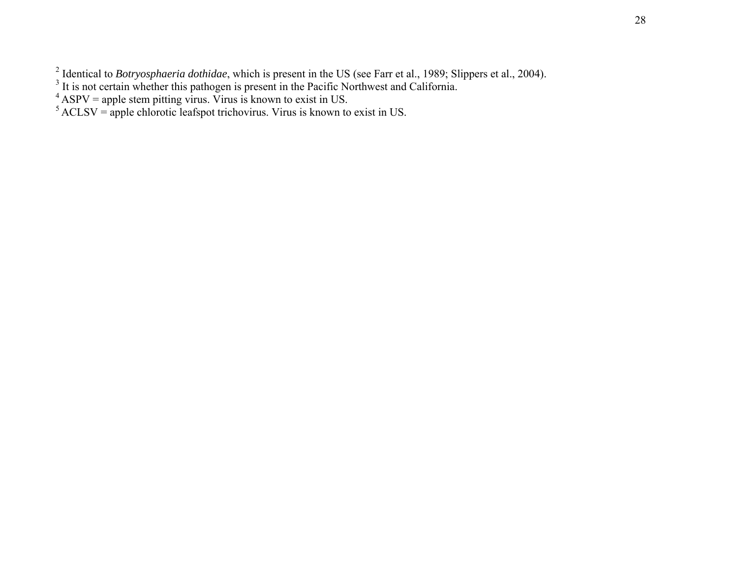<sup>2</sup> Identical to *Botryosphaeria dothidae*, which is present in the US (see Farr et al., 1989; Slippers et al., 2004).  $3^3$  It is not certain whether this pathogen is present in the Pacific Northwest and California.

 $4$  ASPV = apple stem pitting virus. Virus is known to exist in US.

 $<sup>5</sup>ACLSV$  = apple chlorotic leafspot trichovirus. Virus is known to exist in US.</sup>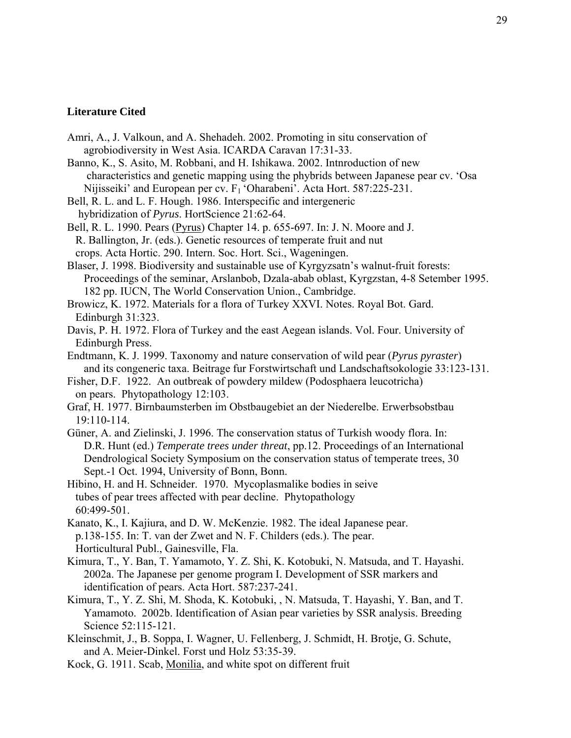## **Literature Cited**

- Amri, A., J. Valkoun, and A. Shehadeh. 2002. Promoting in situ conservation of agrobiodiversity in West Asia. ICARDA Caravan 17:31-33.
- Banno, K., S. Asito, M. Robbani, and H. Ishikawa. 2002. Intnroduction of new characteristics and genetic mapping using the phybrids between Japanese pear cv. 'Osa Nijisseiki' and European per cv.  $F_1$  'Oharabeni'. Acta Hort. 587:225-231.
- Bell, R. L. and L. F. Hough. 1986. Interspecific and intergeneric hybridization of *Pyrus*. HortScience 21:62-64.

Bell, R. L. 1990. Pears (Pyrus) Chapter 14. p. 655-697. In: J. N. Moore and J. R. Ballington, Jr. (eds.). Genetic resources of temperate fruit and nut crops. Acta Hortic. 290. Intern. Soc. Hort. Sci., Wageningen.

- Blaser, J. 1998. Biodiversity and sustainable use of Kyrgyzsatn's walnut-fruit forests: Proceedings of the seminar, Arslanbob, Dzala-abab oblast, Kyrgzstan, 4-8 Setember 1995. 182 pp. IUCN, The World Conservation Union., Cambridge.
- Browicz, K. 1972. Materials for a flora of Turkey XXVI. Notes. Royal Bot. Gard. Edinburgh 31:323.
- Davis, P. H. 1972. Flora of Turkey and the east Aegean islands. Vol. Four. University of Edinburgh Press.
- Endtmann, K. J. 1999. Taxonomy and nature conservation of wild pear (*Pyrus pyraster*) and its congeneric taxa. Beitrage fur Forstwirtschaft und Landschaftsokologie 33:123-131.

Fisher, D.F. 1922. An outbreak of powdery mildew (Podosphaera leucotricha) on pears. Phytopathology 12:103.

- Graf, H. 1977. Birnbaumsterben im Obstbaugebiet an der Niederelbe. Erwerbsobstbau 19:110-114.
- Güner, A. and Zielinski, J. 1996. The conservation status of Turkish woody flora. In: D.R. Hunt (ed.) *Temperate trees under threat*, pp.12. Proceedings of an International Dendrological Society Symposium on the conservation status of temperate trees, 30 Sept.-1 Oct. 1994, University of Bonn, Bonn.
- Hibino, H. and H. Schneider. 1970. Mycoplasmalike bodies in seive tubes of pear trees affected with pear decline. Phytopathology 60:499-501.
- Kanato, K., I. Kajiura, and D. W. McKenzie. 1982. The ideal Japanese pear. p.138-155. In: T. van der Zwet and N. F. Childers (eds.). The pear. Horticultural Publ., Gainesville, Fla.
- Kimura, T., Y. Ban, T. Yamamoto, Y. Z. Shi, K. Kotobuki, N. Matsuda, and T. Hayashi. 2002a. The Japanese per genome program I. Development of SSR markers and identification of pears. Acta Hort. 587:237-241.
- Kimura, T., Y. Z. Shi, M. Shoda, K. Kotobuki, , N. Matsuda, T. Hayashi, Y. Ban, and T. Yamamoto. 2002b. Identification of Asian pear varieties by SSR analysis. Breeding Science 52:115-121.
- Kleinschmit, J., B. Soppa, I. Wagner, U. Fellenberg, J. Schmidt, H. Brotje, G. Schute, and A. Meier-Dinkel. Forst und Holz 53:35-39.
- Kock, G. 1911. Scab, Monilia, and white spot on different fruit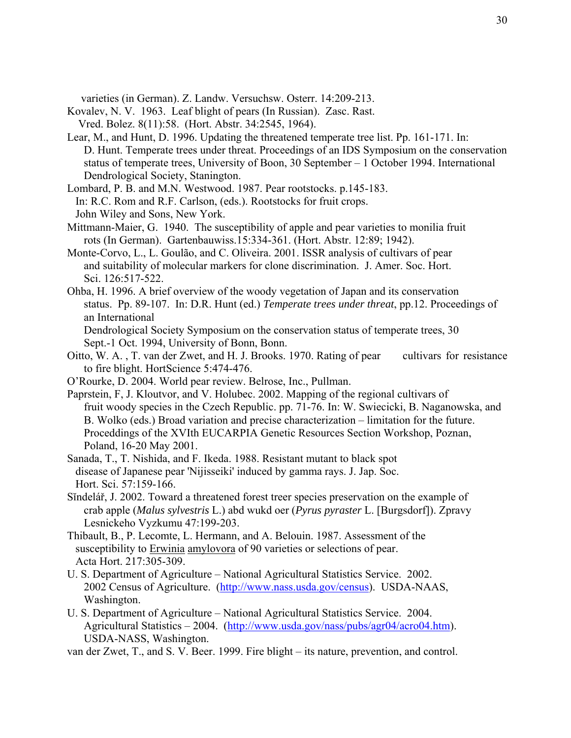varieties (in German). Z. Landw. Versuchsw. Osterr. 14:209-213.

Kovalev, N. V. 1963. Leaf blight of pears (In Russian). Zasc. Rast.

- Vred. Bolez. 8(11):58. (Hort. Abstr. 34:2545, 1964).
- Lear, M., and Hunt, D. 1996. Updating the threatened temperate tree list. Pp. 161-171. In: D. Hunt. Temperate trees under threat. Proceedings of an IDS Symposium on the conservation status of temperate trees, University of Boon, 30 September – 1 October 1994. International Dendrological Society, Stanington.
- Lombard, P. B. and M.N. Westwood. 1987. Pear rootstocks. p.145-183. In: R.C. Rom and R.F. Carlson, (eds.). Rootstocks for fruit crops. John Wiley and Sons, New York.
- Mittmann-Maier, G. 1940. The susceptibility of apple and pear varieties to monilia fruit rots (In German). Gartenbauwiss.15:334-361. (Hort. Abstr. 12:89; 1942).
- Monte-Corvo, L., L. Goulão, and C. Oliveira. 2001. ISSR analysis of cultivars of pear and suitability of molecular markers for clone discrimination. J. Amer. Soc. Hort. Sci. 126:517-522.
- Ohba, H. 1996. A brief overview of the woody vegetation of Japan and its conservation status. Pp. 89-107. In: D.R. Hunt (ed.) *Temperate trees under threat*, pp.12. Proceedings of an International
	- Dendrological Society Symposium on the conservation status of temperate trees, 30 Sept.-1 Oct. 1994, University of Bonn, Bonn.
- Oitto, W. A. , T. van der Zwet, and H. J. Brooks. 1970. Rating of pear cultivars for resistance to fire blight. HortScience 5:474-476.
- O'Rourke, D. 2004. World pear review. Belrose, Inc., Pullman.
- Paprstein, F, J. Kloutvor, and V. Holubec. 2002. Mapping of the regional cultivars of fruit woody species in the Czech Republic. pp. 71-76. In: W. Swiecicki, B. Naganowska, and B. Wolko (eds.) Broad variation and precise characterization – limitation for the future. Proceddings of the XVIth EUCARPIA Genetic Resources Section Workshop, Poznan, Poland, 16-20 May 2001.
- Sanada, T., T. Nishida, and F. Ikeda. 1988. Resistant mutant to black spot disease of Japanese pear 'Nijisseiki' induced by gamma rays. J. Jap. Soc. Hort. Sci. 57:159-166.
- Sĭndelář, J. 2002. Toward a threatened forest treer species preservation on the example of crab apple (*Malus sylvestris* L.) abd wukd oer (*Pyrus pyraster* L. [Burgsdorf]). Zpravy Lesnickeho Vyzkumu 47:199-203.
- Thibault, B., P. Lecomte, L. Hermann, and A. Belouin. 1987. Assessment of the susceptibility to Erwinia amylovora of 90 varieties or selections of pear. Acta Hort. 217:305-309.
- U. S. Department of Agriculture National Agricultural Statistics Service. 2002. 2002 Census of Agriculture. (http://www.nass.usda.gov/census). USDA-NAAS, Washington.
- U. S. Department of Agriculture National Agricultural Statistics Service. 2004. Agricultural Statistics – 2004. (http://www.usda.gov/nass/pubs/agr04/acro04.htm). USDA-NASS, Washington.
- van der Zwet, T., and S. V. Beer. 1999. Fire blight its nature, prevention, and control.